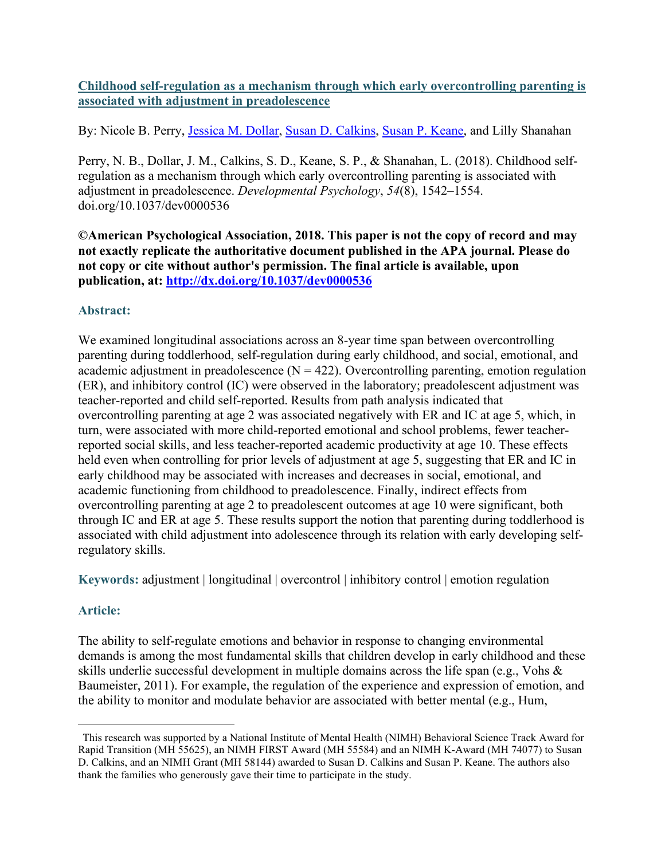## **Childhood self-regulation as a mechanism through which early overcontrolling parenting is associated with adjustment in preadolescence**

By: Nicole B. Perry, *Jessica M. Dollar, [Susan D. Calkins,](https://libres.uncg.edu/ir/uncg/clist.aspx?id=1258) [Susan P. Keane,](http://libres.uncg.edu/ir/uncg/clist.aspx?id=557) and Lilly Shanahan* 

Perry, N. B., Dollar, J. M., Calkins, S. D., Keane, S. P., & Shanahan, L. (2018). Childhood selfregulation as a mechanism through which early overcontrolling parenting is associated with adjustment in preadolescence. *Developmental Psychology*, *54*(8), 1542–1554. doi.org/10.1037/dev0000536

**©American Psychological Association, 2018. This paper is not the copy of record and may not exactly replicate the authoritative document published in the APA journal. Please do not copy or cite without author's permission. The final article is available, upon publication, at: <http://dx.doi.org/10.1037/dev0000536>**

## **Abstract:**

We examined longitudinal associations across an 8-year time span between overcontrolling parenting during toddlerhood, self-regulation during early childhood, and social, emotional, and academic adjustment in preadolescence  $(N = 422)$ . Overcontrolling parenting, emotion regulation (ER), and inhibitory control (IC) were observed in the laboratory; preadolescent adjustment was teacher-reported and child self-reported. Results from path analysis indicated that overcontrolling parenting at age 2 was associated negatively with ER and IC at age 5, which, in turn, were associated with more child-reported emotional and school problems, fewer teacherreported social skills, and less teacher-reported academic productivity at age 10. These effects held even when controlling for prior levels of adjustment at age 5, suggesting that ER and IC in early childhood may be associated with increases and decreases in social, emotional, and academic functioning from childhood to preadolescence. Finally, indirect effects from overcontrolling parenting at age 2 to preadolescent outcomes at age 10 were significant, both through IC and ER at age 5. These results support the notion that parenting during toddlerhood is associated with child adjustment into adolescence through its relation with early developing selfregulatory skills.

**Keywords:** adjustment | longitudinal | overcontrol | inhibitory control | emotion regulation

# **Article:**

The ability to self-regulate emotions and behavior in response to changing environmental demands is among the most fundamental skills that children develop in early childhood and these skills underlie successful development in multiple domains across the life span (e.g., Vohs & Baumeister, 2011). For example, the regulation of the experience and expression of emotion, and the ability to monitor and modulate behavior are associated with better mental (e.g., Hum,

<span id="page-0-0"></span>This research was supported by a National Institute of Mental Health (NIMH) Behavioral Science Track Award for Rapid Transition (MH 55625), an NIMH FIRST Award (MH 55584) and an NIMH K-Award (MH 74077) to Susan D. Calkins, and an NIMH Grant (MH 58144) awarded to Susan D. Calkins and Susan P. Keane. The authors also thank the families who generously gave their time to participate in the study.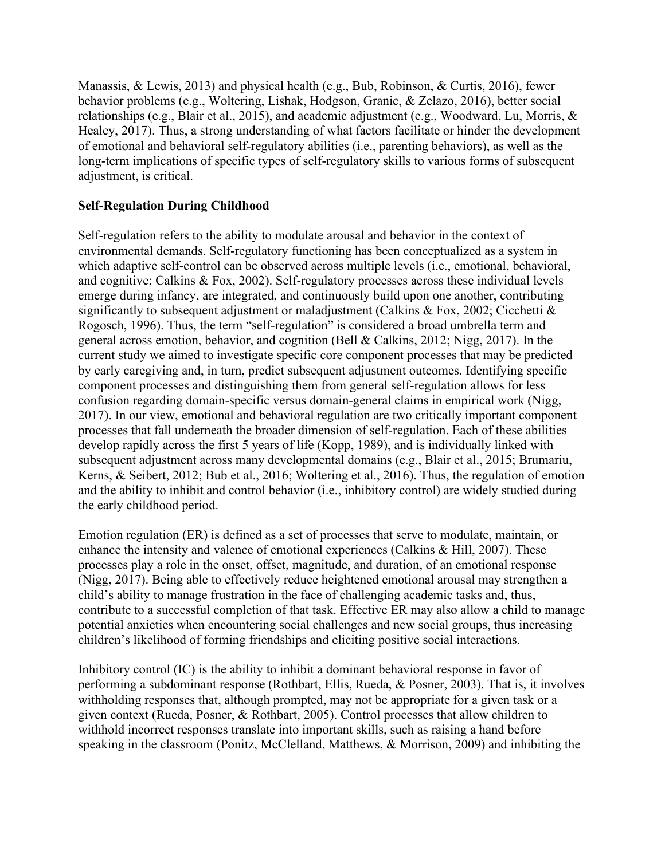Manassis, & Lewis, 2013) and physical health (e.g., Bub, Robinson, & Curtis, 2016), fewer behavior problems (e.g., Woltering, Lishak, Hodgson, Granic, & Zelazo, 2016), better social relationships (e.g., Blair et al., 2015), and academic adjustment (e.g., Woodward, Lu, Morris, & Healey, 2017). Thus, a strong understanding of what factors facilitate or hinder the development of emotional and behavioral self-regulatory abilities (i.e., parenting behaviors), as well as the long-term implications of specific types of self-regulatory skills to various forms of subsequent adjustment, is critical.

## **Self-Regulation During Childhood**

Self-regulation refers to the ability to modulate arousal and behavior in the context of environmental demands. Self-regulatory functioning has been conceptualized as a system in which adaptive self-control can be observed across multiple levels (i.e., emotional, behavioral, and cognitive; Calkins & Fox, 2002). Self-regulatory processes across these individual levels emerge during infancy, are integrated, and continuously build upon one another, contributing significantly to subsequent adjustment or maladjustment (Calkins & Fox, 2002; Cicchetti & Rogosch, 1996). Thus, the term "self-regulation" is considered a broad umbrella term and general across emotion, behavior, and cognition (Bell & Calkins, 2012; Nigg, 2017). In the current study we aimed to investigate specific core component processes that may be predicted by early caregiving and, in turn, predict subsequent adjustment outcomes. Identifying specific component processes and distinguishing them from general self-regulation allows for less confusion regarding domain-specific versus domain-general claims in empirical work (Nigg, 2017). In our view, emotional and behavioral regulation are two critically important component processes that fall underneath the broader dimension of self-regulation. Each of these abilities develop rapidly across the first 5 years of life (Kopp, 1989), and is individually linked with subsequent adjustment across many developmental domains (e.g., Blair et al., 2015; Brumariu, Kerns, & Seibert, 2012; Bub et al., 2016; Woltering et al., 2016). Thus, the regulation of emotion and the ability to inhibit and control behavior (i.e., inhibitory control) are widely studied during the early childhood period.

Emotion regulation (ER) is defined as a set of processes that serve to modulate, maintain, or enhance the intensity and valence of emotional experiences (Calkins & Hill, 2007). These processes play a role in the onset, offset, magnitude, and duration, of an emotional response (Nigg, 2017). Being able to effectively reduce heightened emotional arousal may strengthen a child's ability to manage frustration in the face of challenging academic tasks and, thus, contribute to a successful completion of that task. Effective ER may also allow a child to manage potential anxieties when encountering social challenges and new social groups, thus increasing children's likelihood of forming friendships and eliciting positive social interactions.

Inhibitory control (IC) is the ability to inhibit a dominant behavioral response in favor of performing a subdominant response (Rothbart, Ellis, Rueda, & Posner, 2003). That is, it involves withholding responses that, although prompted, may not be appropriate for a given task or a given context (Rueda, Posner, & Rothbart, 2005). Control processes that allow children to withhold incorrect responses translate into important skills, such as raising a hand before speaking in the classroom (Ponitz, McClelland, Matthews, & Morrison, 2009) and inhibiting the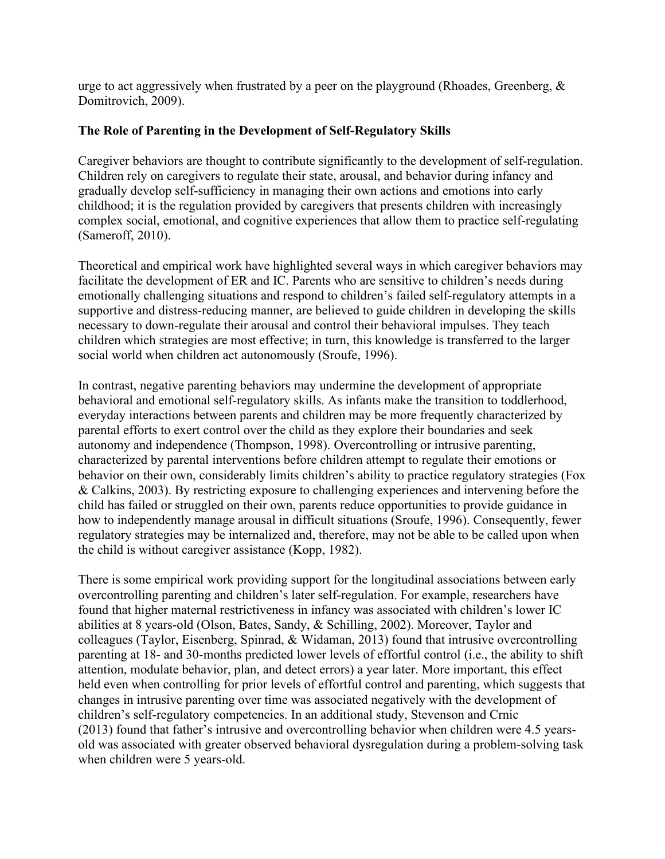urge to act aggressively when frustrated by a peer on the playground (Rhoades, Greenberg,  $\&$ Domitrovich, 2009).

### **The Role of Parenting in the Development of Self-Regulatory Skills**

Caregiver behaviors are thought to contribute significantly to the development of self-regulation. Children rely on caregivers to regulate their state, arousal, and behavior during infancy and gradually develop self-sufficiency in managing their own actions and emotions into early childhood; it is the regulation provided by caregivers that presents children with increasingly complex social, emotional, and cognitive experiences that allow them to practice self-regulating (Sameroff, 2010).

Theoretical and empirical work have highlighted several ways in which caregiver behaviors may facilitate the development of ER and IC. Parents who are sensitive to children's needs during emotionally challenging situations and respond to children's failed self-regulatory attempts in a supportive and distress-reducing manner, are believed to guide children in developing the skills necessary to down-regulate their arousal and control their behavioral impulses. They teach children which strategies are most effective; in turn, this knowledge is transferred to the larger social world when children act autonomously (Sroufe, 1996).

In contrast, negative parenting behaviors may undermine the development of appropriate behavioral and emotional self-regulatory skills. As infants make the transition to toddlerhood, everyday interactions between parents and children may be more frequently characterized by parental efforts to exert control over the child as they explore their boundaries and seek autonomy and independence (Thompson, 1998). Overcontrolling or intrusive parenting, characterized by parental interventions before children attempt to regulate their emotions or behavior on their own, considerably limits children's ability to practice regulatory strategies (Fox & Calkins, 2003). By restricting exposure to challenging experiences and intervening before the child has failed or struggled on their own, parents reduce opportunities to provide guidance in how to independently manage arousal in difficult situations (Sroufe, 1996). Consequently, fewer regulatory strategies may be internalized and, therefore, may not be able to be called upon when the child is without caregiver assistance (Kopp, 1982).

There is some empirical work providing support for the longitudinal associations between early overcontrolling parenting and children's later self-regulation. For example, researchers have found that higher maternal restrictiveness in infancy was associated with children's lower IC abilities at 8 years-old (Olson, Bates, Sandy, & Schilling, 2002). Moreover, Taylor and colleagues (Taylor, Eisenberg, Spinrad, & Widaman, 2013) found that intrusive overcontrolling parenting at 18- and 30-months predicted lower levels of effortful control (i.e., the ability to shift attention, modulate behavior, plan, and detect errors) a year later. More important, this effect held even when controlling for prior levels of effortful control and parenting, which suggests that changes in intrusive parenting over time was associated negatively with the development of children's self-regulatory competencies. In an additional study, Stevenson and Crnic (2013) found that father's intrusive and overcontrolling behavior when children were 4.5 yearsold was associated with greater observed behavioral dysregulation during a problem-solving task when children were 5 years-old.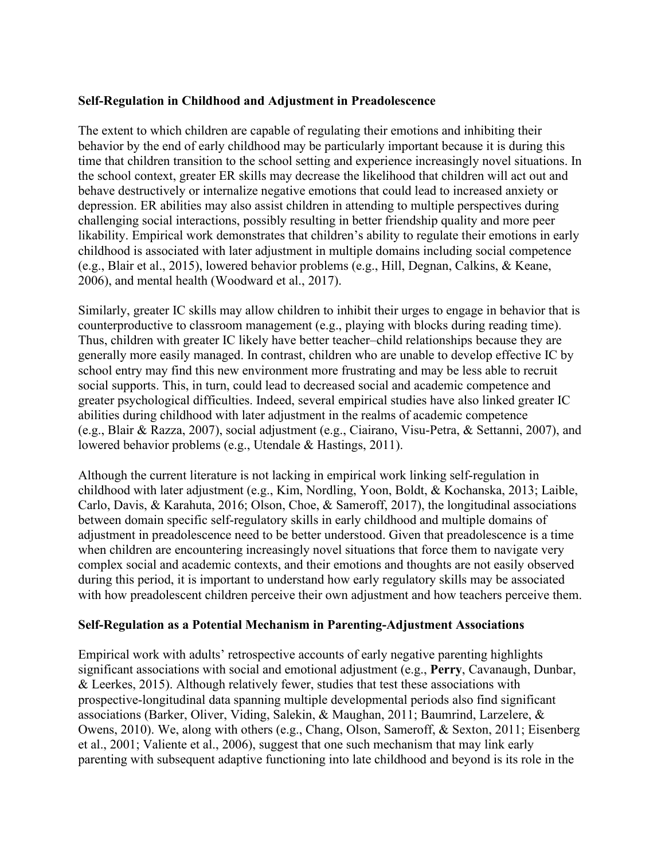### **Self-Regulation in Childhood and Adjustment in Preadolescence**

The extent to which children are capable of regulating their emotions and inhibiting their behavior by the end of early childhood may be particularly important because it is during this time that children transition to the school setting and experience increasingly novel situations. In the school context, greater ER skills may decrease the likelihood that children will act out and behave destructively or internalize negative emotions that could lead to increased anxiety or depression. ER abilities may also assist children in attending to multiple perspectives during challenging social interactions, possibly resulting in better friendship quality and more peer likability. Empirical work demonstrates that children's ability to regulate their emotions in early childhood is associated with later adjustment in multiple domains including social competence (e.g., Blair et al., 2015), lowered behavior problems (e.g., Hill, Degnan, Calkins, & Keane, 2006), and mental health (Woodward et al., 2017).

Similarly, greater IC skills may allow children to inhibit their urges to engage in behavior that is counterproductive to classroom management (e.g., playing with blocks during reading time). Thus, children with greater IC likely have better teacher–child relationships because they are generally more easily managed. In contrast, children who are unable to develop effective IC by school entry may find this new environment more frustrating and may be less able to recruit social supports. This, in turn, could lead to decreased social and academic competence and greater psychological difficulties. Indeed, several empirical studies have also linked greater IC abilities during childhood with later adjustment in the realms of academic competence (e.g., Blair & Razza, 2007), social adjustment (e.g., Ciairano, Visu-Petra, & Settanni, 2007), and lowered behavior problems (e.g., Utendale & Hastings, 2011).

Although the current literature is not lacking in empirical work linking self-regulation in childhood with later adjustment (e.g., Kim, Nordling, Yoon, Boldt, & Kochanska, 2013; Laible, Carlo, Davis, & Karahuta, 2016; Olson, Choe, & Sameroff, 2017), the longitudinal associations between domain specific self-regulatory skills in early childhood and multiple domains of adjustment in preadolescence need to be better understood. Given that preadolescence is a time when children are encountering increasingly novel situations that force them to navigate very complex social and academic contexts, and their emotions and thoughts are not easily observed during this period, it is important to understand how early regulatory skills may be associated with how preadolescent children perceive their own adjustment and how teachers perceive them.

## **Self-Regulation as a Potential Mechanism in Parenting-Adjustment Associations**

Empirical work with adults' retrospective accounts of early negative parenting highlights significant associations with social and emotional adjustment (e.g., **Perry**, Cavanaugh, Dunbar, & Leerkes, 2015). Although relatively fewer, studies that test these associations with prospective-longitudinal data spanning multiple developmental periods also find significant associations (Barker, Oliver, Viding, Salekin, & Maughan, 2011; Baumrind, Larzelere, & Owens, 2010). We, along with others (e.g., Chang, Olson, Sameroff, & Sexton, 2011; Eisenberg et al., 2001; Valiente et al., 2006), suggest that one such mechanism that may link early parenting with subsequent adaptive functioning into late childhood and beyond is its role in the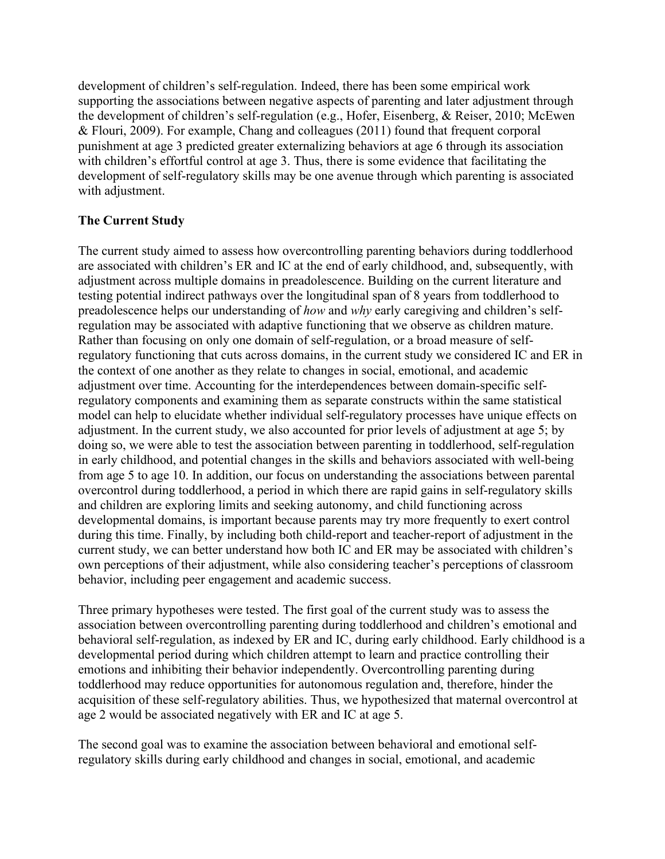development of children's self-regulation. Indeed, there has been some empirical work supporting the associations between negative aspects of parenting and later adjustment through the development of children's self-regulation (e.g., Hofer, Eisenberg, & Reiser, 2010; McEwen & Flouri, 2009). For example, Chang and colleagues (2011) found that frequent corporal punishment at age 3 predicted greater externalizing behaviors at age 6 through its association with children's effortful control at age 3. Thus, there is some evidence that facilitating the development of self-regulatory skills may be one avenue through which parenting is associated with adjustment.

## **The Current Study**

The current study aimed to assess how overcontrolling parenting behaviors during toddlerhood are associated with children's ER and IC at the end of early childhood, and, subsequently, with adjustment across multiple domains in preadolescence. Building on the current literature and testing potential indirect pathways over the longitudinal span of 8 years from toddlerhood to preadolescence helps our understanding of *how* and *why* early caregiving and children's selfregulation may be associated with adaptive functioning that we observe as children mature. Rather than focusing on only one domain of self-regulation, or a broad measure of selfregulatory functioning that cuts across domains, in the current study we considered IC and ER in the context of one another as they relate to changes in social, emotional, and academic adjustment over time. Accounting for the interdependences between domain-specific selfregulatory components and examining them as separate constructs within the same statistical model can help to elucidate whether individual self-regulatory processes have unique effects on adjustment. In the current study, we also accounted for prior levels of adjustment at age 5; by doing so, we were able to test the association between parenting in toddlerhood, self-regulation in early childhood, and potential changes in the skills and behaviors associated with well-being from age 5 to age 10. In addition, our focus on understanding the associations between parental overcontrol during toddlerhood, a period in which there are rapid gains in self-regulatory skills and children are exploring limits and seeking autonomy, and child functioning across developmental domains, is important because parents may try more frequently to exert control during this time. Finally, by including both child-report and teacher-report of adjustment in the current study, we can better understand how both IC and ER may be associated with children's own perceptions of their adjustment, while also considering teacher's perceptions of classroom behavior, including peer engagement and academic success.

Three primary hypotheses were tested. The first goal of the current study was to assess the association between overcontrolling parenting during toddlerhood and children's emotional and behavioral self-regulation, as indexed by ER and IC, during early childhood. Early childhood is a developmental period during which children attempt to learn and practice controlling their emotions and inhibiting their behavior independently. Overcontrolling parenting during toddlerhood may reduce opportunities for autonomous regulation and, therefore, hinder the acquisition of these self-regulatory abilities. Thus, we hypothesized that maternal overcontrol at age 2 would be associated negatively with ER and IC at age 5.

The second goal was to examine the association between behavioral and emotional selfregulatory skills during early childhood and changes in social, emotional, and academic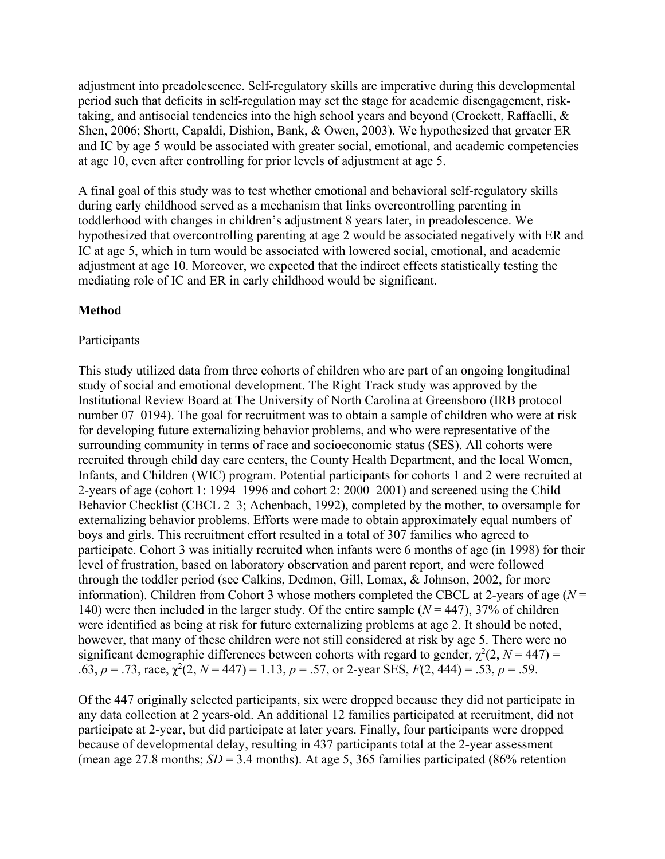adjustment into preadolescence. Self-regulatory skills are imperative during this developmental period such that deficits in self-regulation may set the stage for academic disengagement, risktaking, and antisocial tendencies into the high school years and beyond (Crockett, Raffaelli, & Shen, 2006; Shortt, Capaldi, Dishion, Bank, & Owen, 2003). We hypothesized that greater ER and IC by age 5 would be associated with greater social, emotional, and academic competencies at age 10, even after controlling for prior levels of adjustment at age 5.

A final goal of this study was to test whether emotional and behavioral self-regulatory skills during early childhood served as a mechanism that links overcontrolling parenting in toddlerhood with changes in children's adjustment 8 years later, in preadolescence. We hypothesized that overcontrolling parenting at age 2 would be associated negatively with ER and IC at age 5, which in turn would be associated with lowered social, emotional, and academic adjustment at age 10. Moreover, we expected that the indirect effects statistically testing the mediating role of IC and ER in early childhood would be significant.

### **Method**

#### Participants

This study utilized data from three cohorts of children who are part of an ongoing longitudinal study of social and emotional development. The Right Track study was approved by the Institutional Review Board at The University of North Carolina at Greensboro (IRB protocol number 07–0194). The goal for recruitment was to obtain a sample of children who were at risk for developing future externalizing behavior problems, and who were representative of the surrounding community in terms of race and socioeconomic status (SES). All cohorts were recruited through child day care centers, the County Health Department, and the local Women, Infants, and Children (WIC) program. Potential participants for cohorts 1 and 2 were recruited at 2-years of age (cohort 1: 1994–1996 and cohort 2: 2000–2001) and screened using the Child Behavior Checklist (CBCL 2–3; Achenbach, 1992), completed by the mother, to oversample for externalizing behavior problems. Efforts were made to obtain approximately equal numbers of boys and girls. This recruitment effort resulted in a total of 307 families who agreed to participate. Cohort 3 was initially recruited when infants were 6 months of age (in 1998) for their level of frustration, based on laboratory observation and parent report, and were followed through the toddler period (see Calkins, Dedmon, Gill, Lomax, & Johnson, 2002, for more information). Children from Cohort 3 whose mothers completed the CBCL at 2-years of age (*N* = 140) were then included in the larger study. Of the entire sample  $(N = 447)$ , 37% of children were identified as being at risk for future externalizing problems at age 2. It should be noted, however, that many of these children were not still considered at risk by age 5. There were no significant demographic differences between cohorts with regard to gender,  $\chi^2(2, N = 447)$  = .63,  $p = .73$ , race,  $\chi^2(2, N = 447) = 1.13$ ,  $p = .57$ , or 2-year SES,  $F(2, 444) = .53$ ,  $p = .59$ .

Of the 447 originally selected participants, six were dropped because they did not participate in any data collection at 2 years-old. An additional 12 families participated at recruitment, did not participate at 2-year, but did participate at later years. Finally, four participants were dropped because of developmental delay, resulting in 437 participants total at the 2-year assessment (mean age 27.8 months;  $SD = 3.4$  months). At age 5, 365 families participated (86% retention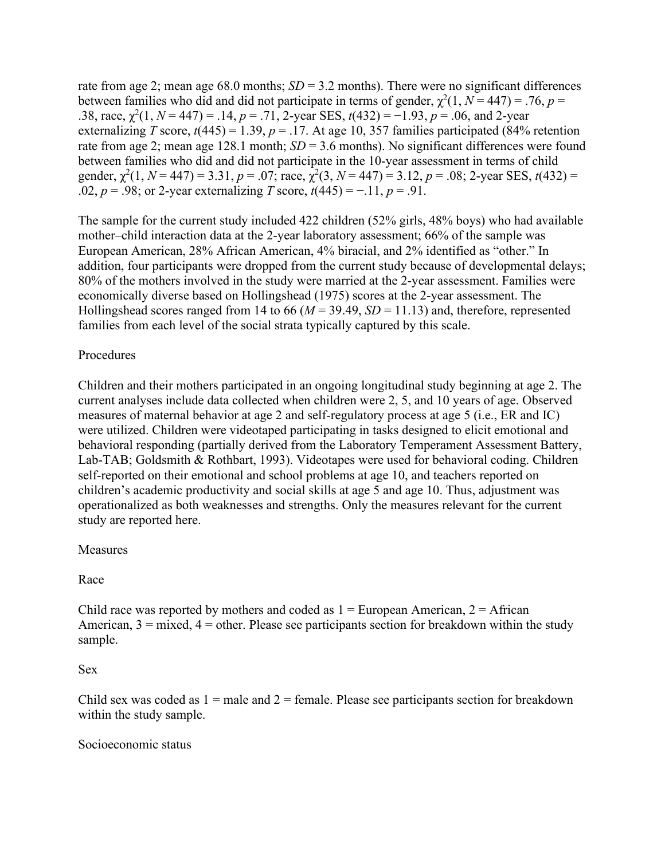rate from age 2; mean age 68.0 months; *SD* = 3.2 months). There were no significant differences between families who did and did not participate in terms of gender,  $\chi^2(1, N = 447) = .76$ ,  $p =$ .38, race,  $\chi^2(1, N = 447) = .14$ ,  $p = .71$ , 2-year SES,  $t(432) = -1.93$ ,  $p = .06$ , and 2-year externalizing *T* score,  $t(445) = 1.39$ ,  $p = .17$ . At age 10, 357 families participated (84% retention rate from age 2; mean age 128.1 month; *SD* = 3.6 months). No significant differences were found between families who did and did not participate in the 10-year assessment in terms of child gender,  $\chi^2(1, N = 447) = 3.31$ ,  $p = .07$ ; race,  $\chi^2(3, N = 447) = 3.12$ ,  $p = .08$ ; 2-year SES,  $t(432) =$ .02, *p* = .98; or 2-year externalizing *T* score, *t*(445) = −.11, *p* = .91.

The sample for the current study included 422 children (52% girls, 48% boys) who had available mother–child interaction data at the 2-year laboratory assessment; 66% of the sample was European American, 28% African American, 4% biracial, and 2% identified as "other." In addition, four participants were dropped from the current study because of developmental delays; 80% of the mothers involved in the study were married at the 2-year assessment. Families were economically diverse based on Hollingshead (1975) scores at the 2-year assessment. The Hollingshead scores ranged from 14 to 66 ( $M = 39.49$ ,  $SD = 11.13$ ) and, therefore, represented families from each level of the social strata typically captured by this scale.

## Procedures

Children and their mothers participated in an ongoing longitudinal study beginning at age 2. The current analyses include data collected when children were 2, 5, and 10 years of age. Observed measures of maternal behavior at age 2 and self-regulatory process at age 5 (i.e., ER and IC) were utilized. Children were videotaped participating in tasks designed to elicit emotional and behavioral responding (partially derived from the Laboratory Temperament Assessment Battery, Lab-TAB; Goldsmith & Rothbart, 1993). Videotapes were used for behavioral coding. Children self-reported on their emotional and school problems at age 10, and teachers reported on children's academic productivity and social skills at age 5 and age 10. Thus, adjustment was operationalized as both weaknesses and strengths. Only the measures relevant for the current study are reported here.

### Measures

Race

Child race was reported by mothers and coded as  $1 =$  European American,  $2 =$  African American,  $3 =$  mixed,  $4 =$  other. Please see participants section for breakdown within the study sample.

### Sex

Child sex was coded as  $1 =$  male and  $2 =$  female. Please see participants section for breakdown within the study sample.

### Socioeconomic status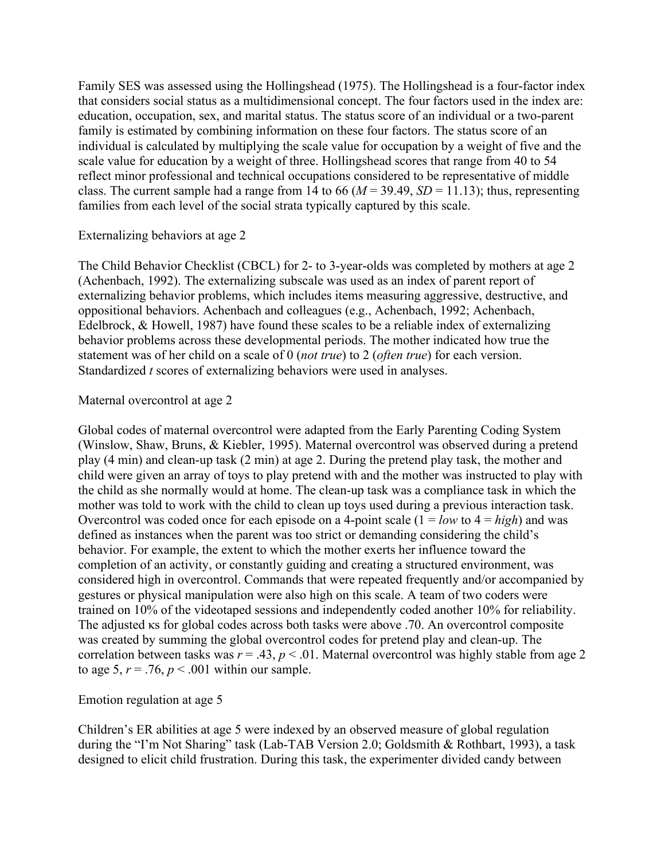Family SES was assessed using the Hollingshead (1975). The Hollingshead is a four-factor index that considers social status as a multidimensional concept. The four factors used in the index are: education, occupation, sex, and marital status. The status score of an individual or a two-parent family is estimated by combining information on these four factors. The status score of an individual is calculated by multiplying the scale value for occupation by a weight of five and the scale value for education by a weight of three. Hollingshead scores that range from 40 to 54 reflect minor professional and technical occupations considered to be representative of middle class. The current sample had a range from 14 to 66 ( $M = 39.49$ ,  $SD = 11.13$ ); thus, representing families from each level of the social strata typically captured by this scale.

### Externalizing behaviors at age 2

The Child Behavior Checklist (CBCL) for 2- to 3-year-olds was completed by mothers at age 2 (Achenbach, 1992). The externalizing subscale was used as an index of parent report of externalizing behavior problems, which includes items measuring aggressive, destructive, and oppositional behaviors. Achenbach and colleagues (e.g., Achenbach, 1992; Achenbach, Edelbrock, & Howell, 1987) have found these scales to be a reliable index of externalizing behavior problems across these developmental periods. The mother indicated how true the statement was of her child on a scale of 0 (*not true*) to 2 (*often true*) for each version. Standardized *t* scores of externalizing behaviors were used in analyses.

### Maternal overcontrol at age 2

Global codes of maternal overcontrol were adapted from the Early Parenting Coding System (Winslow, Shaw, Bruns, & Kiebler, 1995). Maternal overcontrol was observed during a pretend play (4 min) and clean-up task (2 min) at age 2. During the pretend play task, the mother and child were given an array of toys to play pretend with and the mother was instructed to play with the child as she normally would at home. The clean-up task was a compliance task in which the mother was told to work with the child to clean up toys used during a previous interaction task. Overcontrol was coded once for each episode on a 4-point scale (1 = *low* to 4 = *high*) and was defined as instances when the parent was too strict or demanding considering the child's behavior. For example, the extent to which the mother exerts her influence toward the completion of an activity, or constantly guiding and creating a structured environment, was considered high in overcontrol. Commands that were repeated frequently and/or accompanied by gestures or physical manipulation were also high on this scale. A team of two coders were trained on 10% of the videotaped sessions and independently coded another 10% for reliability. The adjusted κs for global codes across both tasks were above .70. An overcontrol composite was created by summing the global overcontrol codes for pretend play and clean-up. The correlation between tasks was  $r = .43$ ,  $p < .01$ . Maternal overcontrol was highly stable from age 2 to age 5,  $r = .76$ ,  $p < .001$  within our sample.

## Emotion regulation at age 5

Children's ER abilities at age 5 were indexed by an observed measure of global regulation during the "I'm Not Sharing" task (Lab-TAB Version 2.0; Goldsmith & Rothbart, 1993), a task designed to elicit child frustration. During this task, the experimenter divided candy between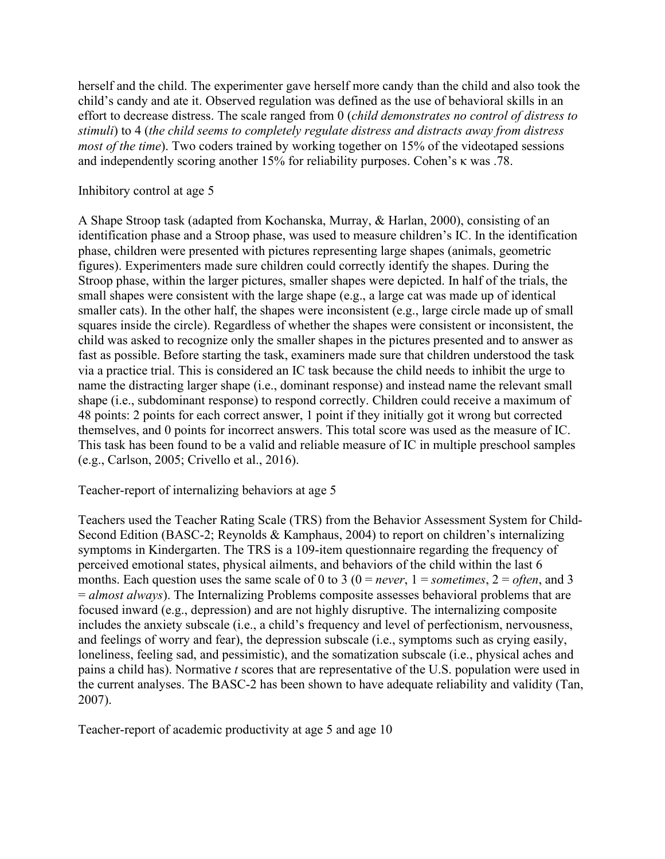herself and the child. The experimenter gave herself more candy than the child and also took the child's candy and ate it. Observed regulation was defined as the use of behavioral skills in an effort to decrease distress. The scale ranged from 0 (*child demonstrates no control of distress to stimuli*) to 4 (*the child seems to completely regulate distress and distracts away from distress most of the time*). Two coders trained by working together on 15% of the videotaped sessions and independently scoring another 15% for reliability purposes. Cohen's κ was .78.

### Inhibitory control at age 5

A Shape Stroop task (adapted from Kochanska, Murray, & Harlan, 2000), consisting of an identification phase and a Stroop phase, was used to measure children's IC. In the identification phase, children were presented with pictures representing large shapes (animals, geometric figures). Experimenters made sure children could correctly identify the shapes. During the Stroop phase, within the larger pictures, smaller shapes were depicted. In half of the trials, the small shapes were consistent with the large shape (e.g., a large cat was made up of identical smaller cats). In the other half, the shapes were inconsistent (e.g., large circle made up of small squares inside the circle). Regardless of whether the shapes were consistent or inconsistent, the child was asked to recognize only the smaller shapes in the pictures presented and to answer as fast as possible. Before starting the task, examiners made sure that children understood the task via a practice trial. This is considered an IC task because the child needs to inhibit the urge to name the distracting larger shape (i.e., dominant response) and instead name the relevant small shape (i.e., subdominant response) to respond correctly. Children could receive a maximum of 48 points: 2 points for each correct answer, 1 point if they initially got it wrong but corrected themselves, and 0 points for incorrect answers. This total score was used as the measure of IC. This task has been found to be a valid and reliable measure of IC in multiple preschool samples (e.g., Carlson, 2005; Crivello et al., 2016).

Teacher-report of internalizing behaviors at age 5

Teachers used the Teacher Rating Scale (TRS) from the Behavior Assessment System for Child-Second Edition (BASC-2; Reynolds & Kamphaus, 2004) to report on children's internalizing symptoms in Kindergarten. The TRS is a 109-item questionnaire regarding the frequency of perceived emotional states, physical ailments, and behaviors of the child within the last 6 months. Each question uses the same scale of 0 to 3 ( $0 = never$ ,  $1 = sometimes$ ,  $2 = often$ , and 3 = *almost always*). The Internalizing Problems composite assesses behavioral problems that are focused inward (e.g., depression) and are not highly disruptive. The internalizing composite includes the anxiety subscale (i.e., a child's frequency and level of perfectionism, nervousness, and feelings of worry and fear), the depression subscale (i.e., symptoms such as crying easily, loneliness, feeling sad, and pessimistic), and the somatization subscale (i.e., physical aches and pains a child has). Normative *t* scores that are representative of the U.S. population were used in the current analyses. The BASC-2 has been shown to have adequate reliability and validity (Tan, 2007).

Teacher-report of academic productivity at age 5 and age 10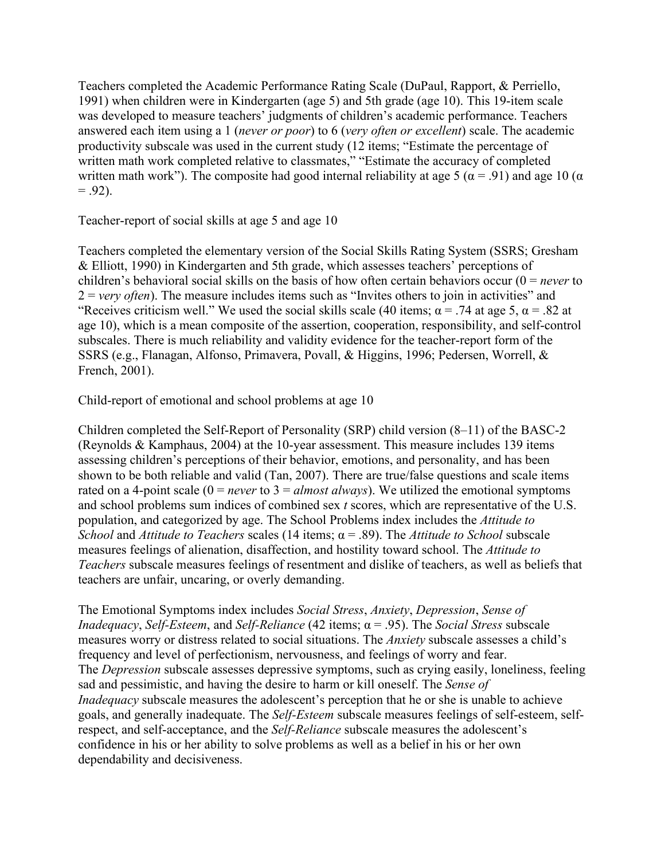Teachers completed the Academic Performance Rating Scale (DuPaul, Rapport, & Perriello, 1991) when children were in Kindergarten (age 5) and 5th grade (age 10). This 19-item scale was developed to measure teachers' judgments of children's academic performance. Teachers answered each item using a 1 (*never or poor*) to 6 (*very often or excellent*) scale. The academic productivity subscale was used in the current study (12 items; "Estimate the percentage of written math work completed relative to classmates," "Estimate the accuracy of completed written math work"). The composite had good internal reliability at age 5 ( $\alpha$  = .91) and age 10 ( $\alpha$ )  $= .92$ ).

Teacher-report of social skills at age 5 and age 10

Teachers completed the elementary version of the Social Skills Rating System (SSRS; Gresham & Elliott, 1990) in Kindergarten and 5th grade, which assesses teachers' perceptions of children's behavioral social skills on the basis of how often certain behaviors occur (0 = *never* to 2 = *very often*). The measure includes items such as "Invites others to join in activities" and "Receives criticism well." We used the social skills scale (40 items;  $\alpha$  = .74 at age 5,  $\alpha$  = .82 at age 10), which is a mean composite of the assertion, cooperation, responsibility, and self-control subscales. There is much reliability and validity evidence for the teacher-report form of the SSRS (e.g., Flanagan, Alfonso, Primavera, Povall, & Higgins, 1996; Pedersen, Worrell, & French, 2001).

Child-report of emotional and school problems at age 10

Children completed the Self-Report of Personality (SRP) child version (8–11) of the BASC-2 (Reynolds & Kamphaus, 2004) at the 10-year assessment. This measure includes 139 items assessing children's perceptions of their behavior, emotions, and personality, and has been shown to be both reliable and valid (Tan, 2007). There are true/false questions and scale items rated on a 4-point scale  $(0 = never to 3 = almost always)$ . We utilized the emotional symptoms and school problems sum indices of combined sex *t* scores, which are representative of the U.S. population, and categorized by age. The School Problems index includes the *Attitude to School* and *Attitude to Teachers* scales (14 items; α = .89). The *Attitude to School* subscale measures feelings of alienation, disaffection, and hostility toward school. The *Attitude to Teachers* subscale measures feelings of resentment and dislike of teachers, as well as beliefs that teachers are unfair, uncaring, or overly demanding.

The Emotional Symptoms index includes *Social Stress*, *Anxiety*, *Depression*, *Sense of Inadequacy*, *Self-Esteem*, and *Self-Reliance* (42 items; α = .95). The *Social Stress* subscale measures worry or distress related to social situations. The *Anxiety* subscale assesses a child's frequency and level of perfectionism, nervousness, and feelings of worry and fear. The *Depression* subscale assesses depressive symptoms, such as crying easily, loneliness, feeling sad and pessimistic, and having the desire to harm or kill oneself. The *Sense of Inadequacy* subscale measures the adolescent's perception that he or she is unable to achieve goals, and generally inadequate. The *Self-Esteem* subscale measures feelings of self-esteem, selfrespect, and self-acceptance, and the *Self-Reliance* subscale measures the adolescent's confidence in his or her ability to solve problems as well as a belief in his or her own dependability and decisiveness.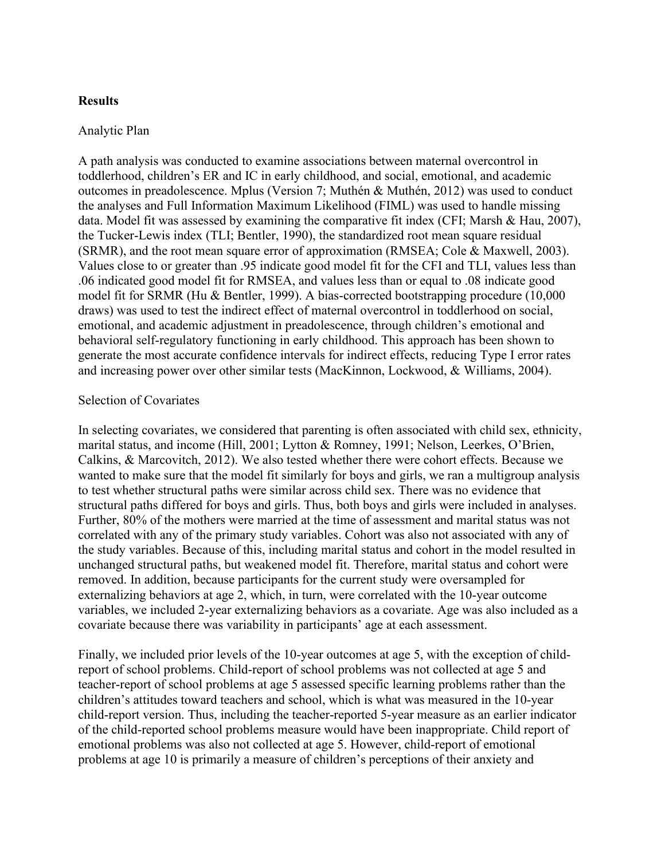#### **Results**

#### Analytic Plan

A path analysis was conducted to examine associations between maternal overcontrol in toddlerhood, children's ER and IC in early childhood, and social, emotional, and academic outcomes in preadolescence. Mplus (Version 7; Muthén & Muthén, 2012) was used to conduct the analyses and Full Information Maximum Likelihood (FIML) was used to handle missing data. Model fit was assessed by examining the comparative fit index (CFI; Marsh & Hau, 2007), the Tucker-Lewis index (TLI; Bentler, 1990), the standardized root mean square residual (SRMR), and the root mean square error of approximation (RMSEA; Cole & Maxwell, 2003). Values close to or greater than .95 indicate good model fit for the CFI and TLI, values less than .06 indicated good model fit for RMSEA, and values less than or equal to .08 indicate good model fit for SRMR (Hu & Bentler, 1999). A bias-corrected bootstrapping procedure (10,000 draws) was used to test the indirect effect of maternal overcontrol in toddlerhood on social, emotional, and academic adjustment in preadolescence, through children's emotional and behavioral self-regulatory functioning in early childhood. This approach has been shown to generate the most accurate confidence intervals for indirect effects, reducing Type I error rates and increasing power over other similar tests (MacKinnon, Lockwood, & Williams, 2004).

#### Selection of Covariates

In selecting covariates, we considered that parenting is often associated with child sex, ethnicity, marital status, and income (Hill, 2001; Lytton & Romney, 1991; Nelson, Leerkes, O'Brien, Calkins, & Marcovitch, 2012). We also tested whether there were cohort effects. Because we wanted to make sure that the model fit similarly for boys and girls, we ran a multigroup analysis to test whether structural paths were similar across child sex. There was no evidence that structural paths differed for boys and girls. Thus, both boys and girls were included in analyses. Further, 80% of the mothers were married at the time of assessment and marital status was not correlated with any of the primary study variables. Cohort was also not associated with any of the study variables. Because of this, including marital status and cohort in the model resulted in unchanged structural paths, but weakened model fit. Therefore, marital status and cohort were removed. In addition, because participants for the current study were oversampled for externalizing behaviors at age 2, which, in turn, were correlated with the 10-year outcome variables, we included 2-year externalizing behaviors as a covariate. Age was also included as a covariate because there was variability in participants' age at each assessment.

Finally, we included prior levels of the 10-year outcomes at age 5, with the exception of childreport of school problems. Child-report of school problems was not collected at age 5 and teacher-report of school problems at age 5 assessed specific learning problems rather than the children's attitudes toward teachers and school, which is what was measured in the 10-year child-report version. Thus, including the teacher-reported 5-year measure as an earlier indicator of the child-reported school problems measure would have been inappropriate. Child report of emotional problems was also not collected at age 5. However, child-report of emotional problems at age 10 is primarily a measure of children's perceptions of their anxiety and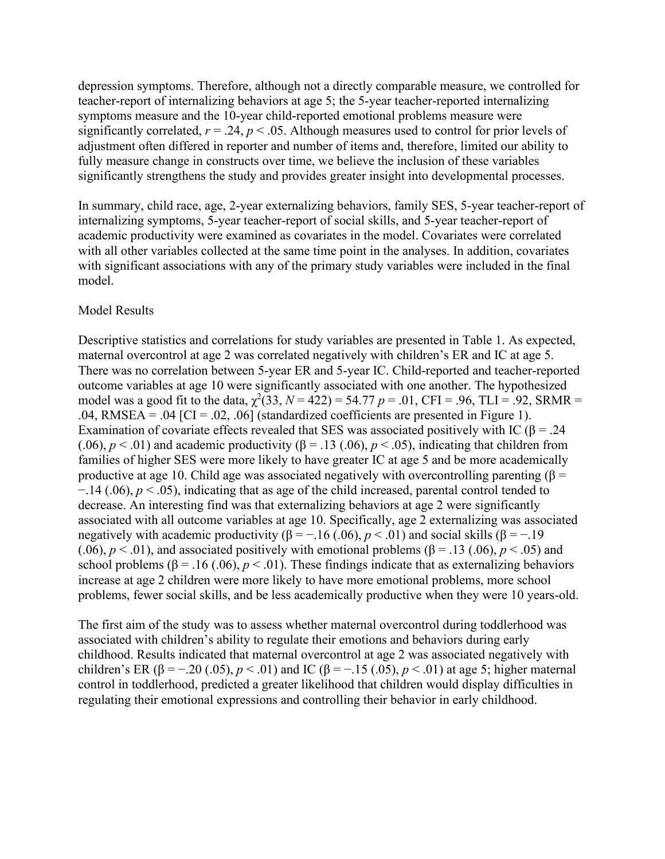depression symptoms. Therefore, although not a directly comparable measure, we controlled for teacher-report of internalizing behaviors at age 5; the 5-year teacher-reported internalizing symptoms measure and the 10-year child-reported emotional problems measure were significantly correlated,  $r = .24$ ,  $p < .05$ . Although measures used to control for prior levels of adjustment often differed in reporter and number of items and, therefore, limited our ability to fully measure change in constructs over time, we believe the inclusion of these variables significantly strengthens the study and provides greater insight into developmental processes.

In summary, child race, age, 2-year externalizing behaviors, family SES, 5-year teacher-report of internalizing symptoms, 5-year teacher-report of social skills, and 5-year teacher-report of academic productivity were examined as covariates in the model. Covariates were correlated with all other variables collected at the same time point in the analyses. In addition, covariates with significant associations with any of the primary study variables were included in the final model.

#### Model Results

Descriptive statistics and correlations for study variables are presented in Table 1. As expected, maternal overcontrol at age 2 was correlated negatively with children's ER and IC at age 5. There was no correlation between 5-year ER and 5-year IC. Child-reported and teacher-reported outcome variables at age 10 were significantly associated with one another. The hypothesized model was a good fit to the data,  $\chi^2(33, N = 422) = 54.77$  *p* = .01, CFI = .96, TLI = .92, SRMR = .04, RMSEA = .04 [CI = .02, .06] (standardized coefficients are presented in Figure 1). Examination of covariate effects revealed that SES was associated positively with IC ( $\beta$  = .24 (.06),  $p < .01$ ) and academic productivity ( $\beta = .13$  (.06),  $p < .05$ ), indicating that children from families of higher SES were more likely to have greater IC at age 5 and be more academically productive at age 10. Child age was associated negatively with overcontrolling parenting ( $\beta$  = −.14 (.06), *p* < .05), indicating that as age of the child increased, parental control tended to decrease. An interesting find was that externalizing behaviors at age 2 were significantly associated with all outcome variables at age 10. Specifically, age 2 externalizing was associated negatively with academic productivity ( $\beta = -.16$  (.06),  $p < .01$ ) and social skills ( $\beta = -.19$ ) (.06),  $p < .01$ ), and associated positively with emotional problems ( $\beta = .13$  (.06),  $p < .05$ ) and school problems ( $\beta$  = .16 (.06),  $p$  < .01). These findings indicate that as externalizing behaviors increase at age 2 children were more likely to have more emotional problems, more school problems, fewer social skills, and be less academically productive when they were 10 years-old.

The first aim of the study was to assess whether maternal overcontrol during toddlerhood was associated with children's ability to regulate their emotions and behaviors during early childhood. Results indicated that maternal overcontrol at age 2 was associated negatively with children's ER ( $\beta = -.20$  (.05),  $p < .01$ ) and IC ( $\beta = -.15$  (.05),  $p < .01$ ) at age 5; higher maternal control in toddlerhood, predicted a greater likelihood that children would display difficulties in regulating their emotional expressions and controlling their behavior in early childhood.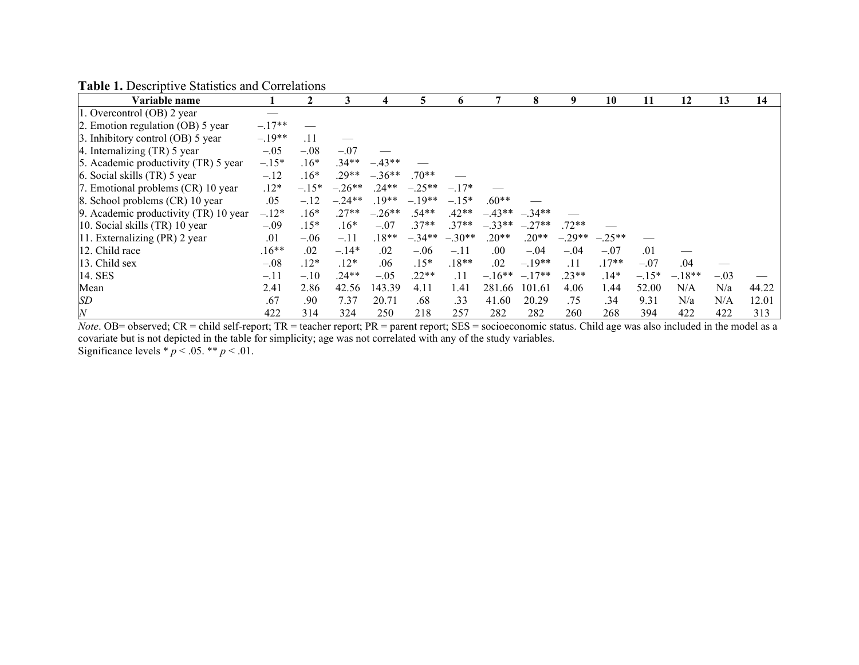**Table 1.** Descriptive Statistics and Correlations

| Variable name                         |          |         | 3        | 4        | 5        | 6        |          | 8               | 9        | 10       | 11      | 12       | 13     | 14    |
|---------------------------------------|----------|---------|----------|----------|----------|----------|----------|-----------------|----------|----------|---------|----------|--------|-------|
| 1. Overcontrol (OB) 2 year            |          |         |          |          |          |          |          |                 |          |          |         |          |        |       |
| 2. Emotion regulation (OB) 5 year     | $-.17**$ |         |          |          |          |          |          |                 |          |          |         |          |        |       |
| 3. Inhibitory control (OB) 5 year     | $-.19**$ | .11     |          |          |          |          |          |                 |          |          |         |          |        |       |
| 4. Internalizing (TR) 5 year          | $-.05$   | $-.08$  | $-.07$   |          |          |          |          |                 |          |          |         |          |        |       |
| 5. Academic productivity (TR) 5 year  | $-.15*$  | $.16*$  | $.34**$  | $-.43**$ |          |          |          |                 |          |          |         |          |        |       |
| 6. Social skills (TR) 5 year          | $-.12$   | $.16*$  | $.29**$  | $-.36**$ | $.70**$  |          |          |                 |          |          |         |          |        |       |
| 7. Emotional problems (CR) 10 year    | $.12*$   | $-.15*$ | $-.26**$ | $.24**$  | $-.25**$ | $-.17*$  |          |                 |          |          |         |          |        |       |
| 8. School problems (CR) 10 year       | .05      | $-.12$  | $-.24**$ | $.19**$  | $-.19**$ | $-.15*$  | $.60**$  |                 |          |          |         |          |        |       |
| 9. Academic productivity (TR) 10 year | $-.12*$  | $.16*$  | $.27**$  | $-.26**$ | $.54**$  | $.42**$  |          | $-43**$ $-34**$ |          |          |         |          |        |       |
| 10. Social skills (TR) 10 year        | $-.09$   | $.15*$  | $.16*$   | $-.07$   | $.37**$  | $.37**$  | $-.33**$ | $-.27**$        | $.72**$  |          |         |          |        |       |
| 11. Externalizing (PR) 2 year         | .01      | $-.06$  | $-.11$   | $.18**$  | $-.34**$ | $-.30**$ | $.20**$  | $.20**$         | $-.29**$ | $-.25**$ |         |          |        |       |
| 12. Child race                        | $.16**$  | $.02\,$ | $-.14*$  | $.02\,$  | $-.06$   | $-.11$   | .00.     | $-.04$          | $-.04$   | $-.07$   | .01     |          |        |       |
| 13. Child sex                         | $-.08$   | $.12*$  | $.12*$   | .06      | $.15*$   | $.18**$  | $.02\,$  | $-.19**$        | .11      | $.17**$  | $-.07$  | .04      |        |       |
| 14. SES                               | $-11$    | $-.10$  | $.24**$  | $-.05$   | $.22**$  | .11      | $-16**$  | $-.17**$        | $.23**$  | $.14*$   | $-.15*$ | $-.18**$ | $-.03$ |       |
| Mean                                  | 2.41     | 2.86    | 42.56    | 143.39   | 4.11     | 1.41     | 281.66   | 101.61          | 4.06     | 1.44     | 52.00   | N/A      | N/a    | 44.22 |
| SD                                    | .67      | .90     | 7.37     | 20.71    | .68      | .33      | 41.60    | 20.29           | .75      | .34      | 9.31    | N/a      | N/A    | 12.01 |
| $\cal N$                              | 422      | 314     | 324      | 250      | 218      | 257      | 282      | 282             | 260      | 268      | 394     | 422      | 422    | 313   |

*Note*. OB= observed; CR = child self-report; TR = teacher report; PR = parent report; SES = socioeconomic status. Child age was also included in the model as a covariate but is not depicted in the table for simplicity; age was not correlated with any of the study variables. Significance levels  $p < .05$ . \*\*  $p < .01$ .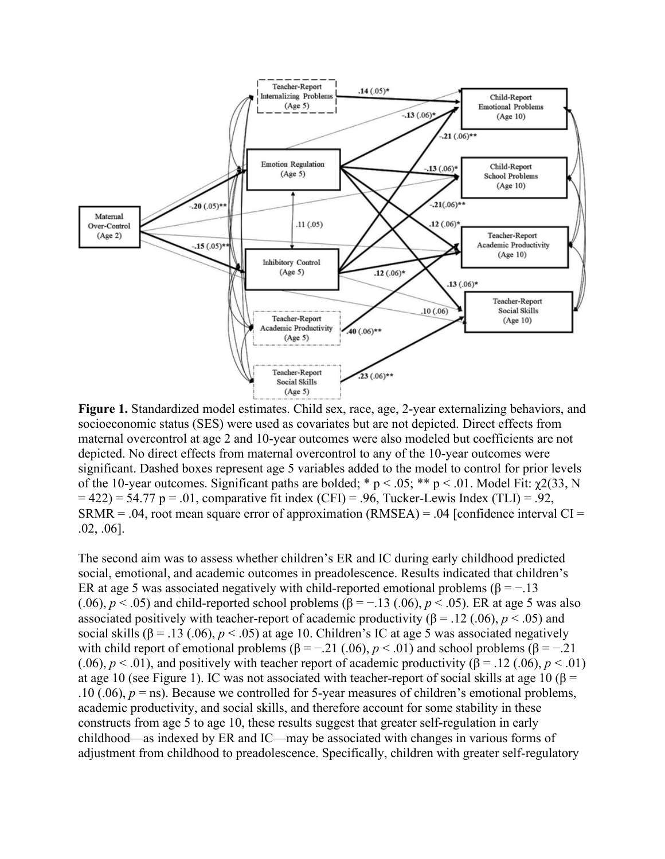

**Figure 1.** Standardized model estimates. Child sex, race, age, 2-year externalizing behaviors, and socioeconomic status (SES) were used as covariates but are not depicted. Direct effects from maternal overcontrol at age 2 and 10-year outcomes were also modeled but coefficients are not depicted. No direct effects from maternal overcontrol to any of the 10-year outcomes were significant. Dashed boxes represent age 5 variables added to the model to control for prior levels of the 10-year outcomes. Significant paths are bolded; \*  $p < .05$ ; \*\*  $p < .01$ . Model Fit:  $\gamma/233$ , N  $= 422$ ) = 54.77 p = .01, comparative fit index (CFI) = .96, Tucker-Lewis Index (TLI) = .92,  $SRMR = .04$ , root mean square error of approximation  $(RMSEA) = .04$  [confidence interval CI = .02, .06].

The second aim was to assess whether children's ER and IC during early childhood predicted social, emotional, and academic outcomes in preadolescence. Results indicated that children's ER at age 5 was associated negatively with child-reported emotional problems ( $\beta = -13$ ) (.06),  $p < .05$ ) and child-reported school problems ( $\beta = -.13$  (.06),  $p < .05$ ). ER at age 5 was also associated positively with teacher-report of academic productivity ( $\beta$  = .12 (.06),  $p$  < .05) and social skills ( $\beta$  = .13 (.06),  $p$  < .05) at age 10. Children's IC at age 5 was associated negatively with child report of emotional problems ( $\beta = -0.21$  (.06),  $p < 0.01$ ) and school problems ( $\beta = -0.21$ (.06),  $p < .01$ ), and positively with teacher report of academic productivity ( $\beta = .12$  (.06),  $p < .01$ ) at age 10 (see Figure 1). IC was not associated with teacher-report of social skills at age 10 ( $\beta$  = .10 (.06),  $p =$  ns). Because we controlled for 5-year measures of children's emotional problems, academic productivity, and social skills, and therefore account for some stability in these constructs from age 5 to age 10, these results suggest that greater self-regulation in early childhood—as indexed by ER and IC—may be associated with changes in various forms of adjustment from childhood to preadolescence. Specifically, children with greater self-regulatory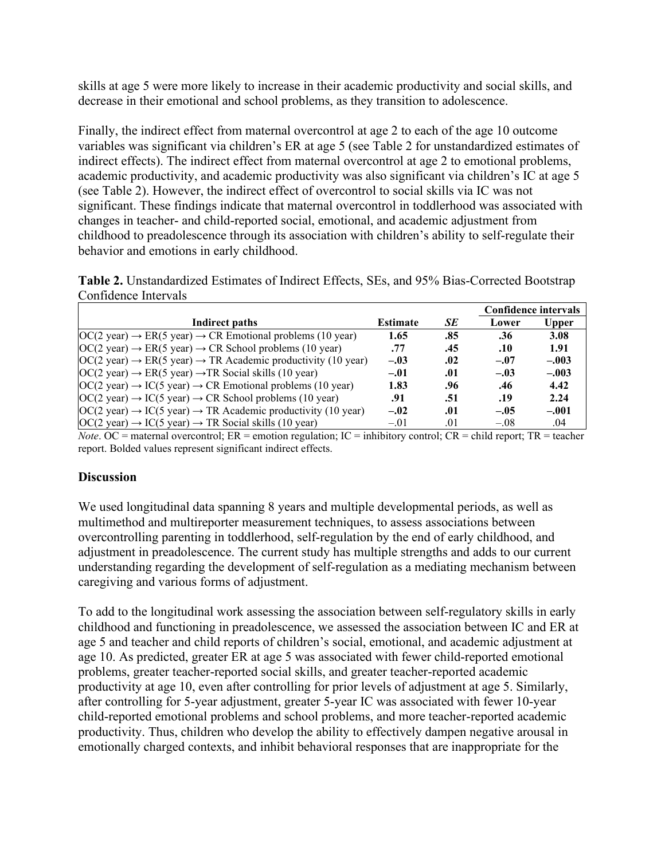skills at age 5 were more likely to increase in their academic productivity and social skills, and decrease in their emotional and school problems, as they transition to adolescence.

Finally, the indirect effect from maternal overcontrol at age 2 to each of the age 10 outcome variables was significant via children's ER at age 5 (see Table 2 for unstandardized estimates of indirect effects). The indirect effect from maternal overcontrol at age 2 to emotional problems, academic productivity, and academic productivity was also significant via children's IC at age 5 (see Table 2). However, the indirect effect of overcontrol to social skills via IC was not significant. These findings indicate that maternal overcontrol in toddlerhood was associated with changes in teacher- and child-reported social, emotional, and academic adjustment from childhood to preadolescence through its association with children's ability to self-regulate their behavior and emotions in early childhood.

| Table 2. Unstandardized Estimates of Indirect Effects, SEs, and 95% Bias-Corrected Bootstrap |  |  |
|----------------------------------------------------------------------------------------------|--|--|
| Confidence Intervals                                                                         |  |  |

|                                                                                                    |                 |     | Confidence intervals |         |  |
|----------------------------------------------------------------------------------------------------|-----------------|-----|----------------------|---------|--|
| Indirect paths                                                                                     | <b>Estimate</b> | SE  | Lower                | Upper   |  |
| $OC(2 \text{ year}) \rightarrow ER(5 \text{ year}) \rightarrow CR$ Emotional problems (10 year)    | 1.65            | .85 | .36                  | 3.08    |  |
| $OC(2 \text{ year}) \rightarrow ER(5 \text{ year}) \rightarrow CR$ School problems (10 year)       | .77             | .45 | .10                  | 1.91    |  |
| $OC(2 \text{ year}) \rightarrow ER(5 \text{ year}) \rightarrow TR$ Academic productivity (10 year) | $-.03$          | .02 | $-.07$               | $-.003$ |  |
| $OC(2 year) \rightarrow ER(5 year) \rightarrow TR Social skills (10 year)$                         | $-.01$          | .01 | $-.03$               | $-.003$ |  |
| $OC(2 \text{ year}) \rightarrow IC(5 \text{ year}) \rightarrow CR$ Emotional problems (10 year)    | 1.83            | .96 | .46                  | 4.42    |  |
| $OC(2 year) \rightarrow IC(5 year) \rightarrow CR$ School problems (10 year)                       | .91             | .51 | .19                  | 2.24    |  |
| $OC(2 \text{ year}) \rightarrow IC(5 \text{ year}) \rightarrow TR$ Academic productivity (10 year) | $-.02$          | .01 | $-.05$               | $-.001$ |  |
| $OC(2 \text{ year}) \rightarrow IC(5 \text{ year}) \rightarrow TR Social skills (10 \text{ year})$ | $-.01$          | .01 | $-.08$               | .04     |  |

*Note*. OC = maternal overcontrol; ER = emotion regulation; IC = inhibitory control; CR = child report; TR = teacher report. Bolded values represent significant indirect effects.

## **Discussion**

We used longitudinal data spanning 8 years and multiple developmental periods, as well as multimethod and multireporter measurement techniques, to assess associations between overcontrolling parenting in toddlerhood, self-regulation by the end of early childhood, and adjustment in preadolescence. The current study has multiple strengths and adds to our current understanding regarding the development of self-regulation as a mediating mechanism between caregiving and various forms of adjustment.

To add to the longitudinal work assessing the association between self-regulatory skills in early childhood and functioning in preadolescence, we assessed the association between IC and ER at age 5 and teacher and child reports of children's social, emotional, and academic adjustment at age 10. As predicted, greater ER at age 5 was associated with fewer child-reported emotional problems, greater teacher-reported social skills, and greater teacher-reported academic productivity at age 10, even after controlling for prior levels of adjustment at age 5. Similarly, after controlling for 5-year adjustment, greater 5-year IC was associated with fewer 10-year child-reported emotional problems and school problems, and more teacher-reported academic productivity. Thus, children who develop the ability to effectively dampen negative arousal in emotionally charged contexts, and inhibit behavioral responses that are inappropriate for the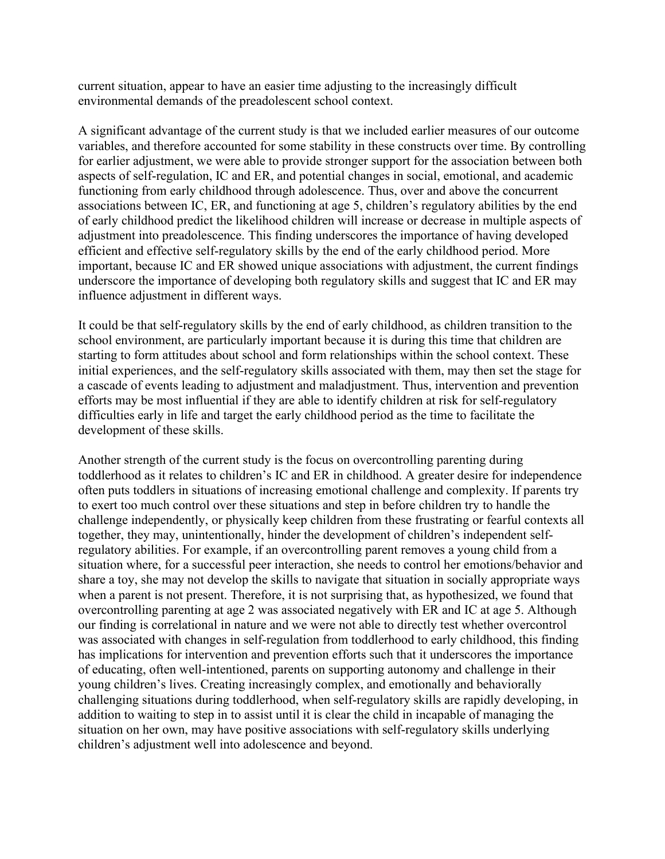current situation, appear to have an easier time adjusting to the increasingly difficult environmental demands of the preadolescent school context.

A significant advantage of the current study is that we included earlier measures of our outcome variables, and therefore accounted for some stability in these constructs over time. By controlling for earlier adjustment, we were able to provide stronger support for the association between both aspects of self-regulation, IC and ER, and potential changes in social, emotional, and academic functioning from early childhood through adolescence. Thus, over and above the concurrent associations between IC, ER, and functioning at age 5, children's regulatory abilities by the end of early childhood predict the likelihood children will increase or decrease in multiple aspects of adjustment into preadolescence. This finding underscores the importance of having developed efficient and effective self-regulatory skills by the end of the early childhood period. More important, because IC and ER showed unique associations with adjustment, the current findings underscore the importance of developing both regulatory skills and suggest that IC and ER may influence adjustment in different ways.

It could be that self-regulatory skills by the end of early childhood, as children transition to the school environment, are particularly important because it is during this time that children are starting to form attitudes about school and form relationships within the school context. These initial experiences, and the self-regulatory skills associated with them, may then set the stage for a cascade of events leading to adjustment and maladjustment. Thus, intervention and prevention efforts may be most influential if they are able to identify children at risk for self-regulatory difficulties early in life and target the early childhood period as the time to facilitate the development of these skills.

Another strength of the current study is the focus on overcontrolling parenting during toddlerhood as it relates to children's IC and ER in childhood. A greater desire for independence often puts toddlers in situations of increasing emotional challenge and complexity. If parents try to exert too much control over these situations and step in before children try to handle the challenge independently, or physically keep children from these frustrating or fearful contexts all together, they may, unintentionally, hinder the development of children's independent selfregulatory abilities. For example, if an overcontrolling parent removes a young child from a situation where, for a successful peer interaction, she needs to control her emotions/behavior and share a toy, she may not develop the skills to navigate that situation in socially appropriate ways when a parent is not present. Therefore, it is not surprising that, as hypothesized, we found that overcontrolling parenting at age 2 was associated negatively with ER and IC at age 5. Although our finding is correlational in nature and we were not able to directly test whether overcontrol was associated with changes in self-regulation from toddlerhood to early childhood, this finding has implications for intervention and prevention efforts such that it underscores the importance of educating, often well-intentioned, parents on supporting autonomy and challenge in their young children's lives. Creating increasingly complex, and emotionally and behaviorally challenging situations during toddlerhood, when self-regulatory skills are rapidly developing, in addition to waiting to step in to assist until it is clear the child in incapable of managing the situation on her own, may have positive associations with self-regulatory skills underlying children's adjustment well into adolescence and beyond.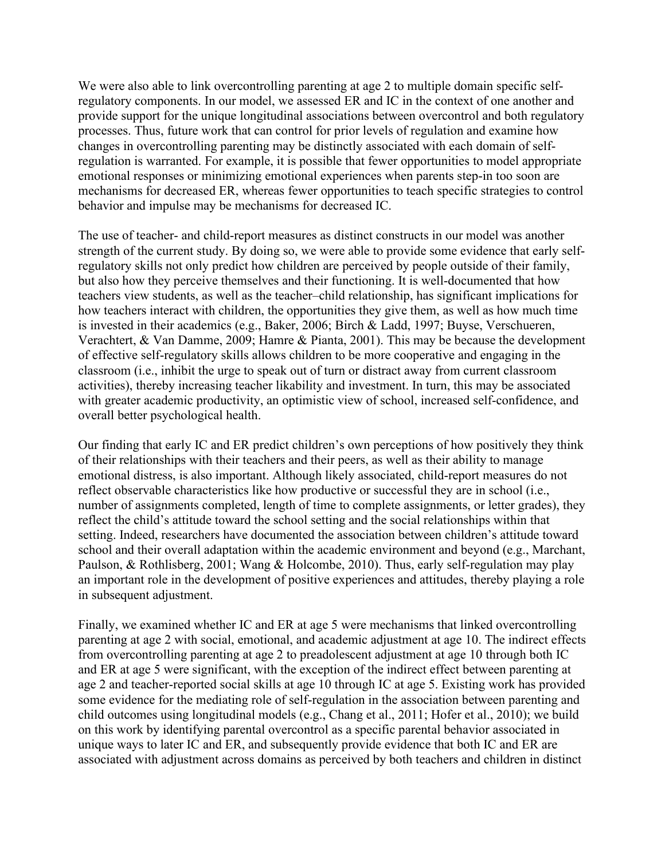We were also able to link overcontrolling parenting at age 2 to multiple domain specific selfregulatory components. In our model, we assessed ER and IC in the context of one another and provide support for the unique longitudinal associations between overcontrol and both regulatory processes. Thus, future work that can control for prior levels of regulation and examine how changes in overcontrolling parenting may be distinctly associated with each domain of selfregulation is warranted. For example, it is possible that fewer opportunities to model appropriate emotional responses or minimizing emotional experiences when parents step-in too soon are mechanisms for decreased ER, whereas fewer opportunities to teach specific strategies to control behavior and impulse may be mechanisms for decreased IC.

The use of teacher- and child-report measures as distinct constructs in our model was another strength of the current study. By doing so, we were able to provide some evidence that early selfregulatory skills not only predict how children are perceived by people outside of their family, but also how they perceive themselves and their functioning. It is well-documented that how teachers view students, as well as the teacher–child relationship, has significant implications for how teachers interact with children, the opportunities they give them, as well as how much time is invested in their academics (e.g., Baker, 2006; Birch & Ladd, 1997; Buyse, Verschueren, Verachtert, & Van Damme, 2009; Hamre & Pianta, 2001). This may be because the development of effective self-regulatory skills allows children to be more cooperative and engaging in the classroom (i.e., inhibit the urge to speak out of turn or distract away from current classroom activities), thereby increasing teacher likability and investment. In turn, this may be associated with greater academic productivity, an optimistic view of school, increased self-confidence, and overall better psychological health.

Our finding that early IC and ER predict children's own perceptions of how positively they think of their relationships with their teachers and their peers, as well as their ability to manage emotional distress, is also important. Although likely associated, child-report measures do not reflect observable characteristics like how productive or successful they are in school (i.e., number of assignments completed, length of time to complete assignments, or letter grades), they reflect the child's attitude toward the school setting and the social relationships within that setting. Indeed, researchers have documented the association between children's attitude toward school and their overall adaptation within the academic environment and beyond (e.g., Marchant, Paulson, & Rothlisberg, 2001; Wang & Holcombe, 2010). Thus, early self-regulation may play an important role in the development of positive experiences and attitudes, thereby playing a role in subsequent adjustment.

Finally, we examined whether IC and ER at age 5 were mechanisms that linked overcontrolling parenting at age 2 with social, emotional, and academic adjustment at age 10. The indirect effects from overcontrolling parenting at age 2 to preadolescent adjustment at age 10 through both IC and ER at age 5 were significant, with the exception of the indirect effect between parenting at age 2 and teacher-reported social skills at age 10 through IC at age 5. Existing work has provided some evidence for the mediating role of self-regulation in the association between parenting and child outcomes using longitudinal models (e.g., Chang et al., 2011; Hofer et al., 2010); we build on this work by identifying parental overcontrol as a specific parental behavior associated in unique ways to later IC and ER, and subsequently provide evidence that both IC and ER are associated with adjustment across domains as perceived by both teachers and children in distinct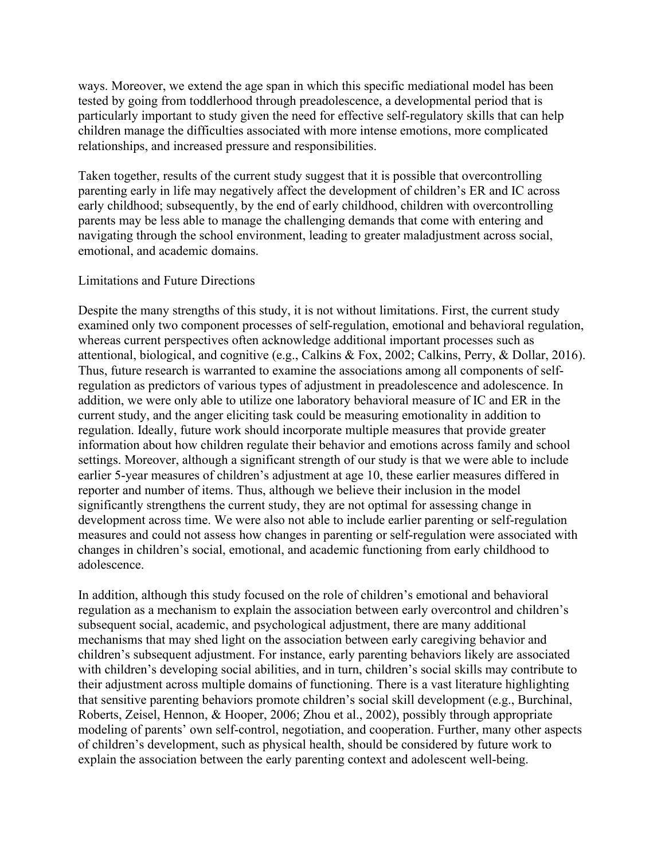ways. Moreover, we extend the age span in which this specific mediational model has been tested by going from toddlerhood through preadolescence, a developmental period that is particularly important to study given the need for effective self-regulatory skills that can help children manage the difficulties associated with more intense emotions, more complicated relationships, and increased pressure and responsibilities.

Taken together, results of the current study suggest that it is possible that overcontrolling parenting early in life may negatively affect the development of children's ER and IC across early childhood; subsequently, by the end of early childhood, children with overcontrolling parents may be less able to manage the challenging demands that come with entering and navigating through the school environment, leading to greater maladjustment across social, emotional, and academic domains.

#### Limitations and Future Directions

Despite the many strengths of this study, it is not without limitations. First, the current study examined only two component processes of self-regulation, emotional and behavioral regulation, whereas current perspectives often acknowledge additional important processes such as attentional, biological, and cognitive (e.g., Calkins & Fox, 2002; Calkins, Perry, & Dollar, 2016). Thus, future research is warranted to examine the associations among all components of selfregulation as predictors of various types of adjustment in preadolescence and adolescence. In addition, we were only able to utilize one laboratory behavioral measure of IC and ER in the current study, and the anger eliciting task could be measuring emotionality in addition to regulation. Ideally, future work should incorporate multiple measures that provide greater information about how children regulate their behavior and emotions across family and school settings. Moreover, although a significant strength of our study is that we were able to include earlier 5-year measures of children's adjustment at age 10, these earlier measures differed in reporter and number of items. Thus, although we believe their inclusion in the model significantly strengthens the current study, they are not optimal for assessing change in development across time. We were also not able to include earlier parenting or self-regulation measures and could not assess how changes in parenting or self-regulation were associated with changes in children's social, emotional, and academic functioning from early childhood to adolescence.

In addition, although this study focused on the role of children's emotional and behavioral regulation as a mechanism to explain the association between early overcontrol and children's subsequent social, academic, and psychological adjustment, there are many additional mechanisms that may shed light on the association between early caregiving behavior and children's subsequent adjustment. For instance, early parenting behaviors likely are associated with children's developing social abilities, and in turn, children's social skills may contribute to their adjustment across multiple domains of functioning. There is a vast literature highlighting that sensitive parenting behaviors promote children's social skill development (e.g., Burchinal, Roberts, Zeisel, Hennon, & Hooper, 2006; Zhou et al., 2002), possibly through appropriate modeling of parents' own self-control, negotiation, and cooperation. Further, many other aspects of children's development, such as physical health, should be considered by future work to explain the association between the early parenting context and adolescent well-being.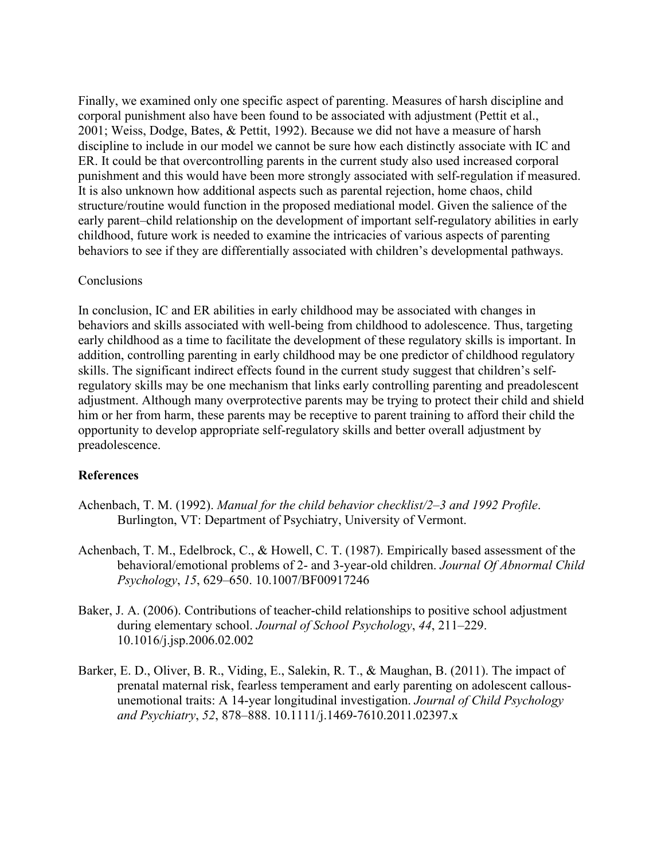Finally, we examined only one specific aspect of parenting. Measures of harsh discipline and corporal punishment also have been found to be associated with adjustment (Pettit et al., 2001; Weiss, Dodge, Bates, & Pettit, 1992). Because we did not have a measure of harsh discipline to include in our model we cannot be sure how each distinctly associate with IC and ER. It could be that overcontrolling parents in the current study also used increased corporal punishment and this would have been more strongly associated with self-regulation if measured. It is also unknown how additional aspects such as parental rejection, home chaos, child structure/routine would function in the proposed mediational model. Given the salience of the early parent–child relationship on the development of important self-regulatory abilities in early childhood, future work is needed to examine the intricacies of various aspects of parenting behaviors to see if they are differentially associated with children's developmental pathways.

### **Conclusions**

In conclusion, IC and ER abilities in early childhood may be associated with changes in behaviors and skills associated with well-being from childhood to adolescence. Thus, targeting early childhood as a time to facilitate the development of these regulatory skills is important. In addition, controlling parenting in early childhood may be one predictor of childhood regulatory skills. The significant indirect effects found in the current study suggest that children's selfregulatory skills may be one mechanism that links early controlling parenting and preadolescent adjustment. Although many overprotective parents may be trying to protect their child and shield him or her from harm, these parents may be receptive to parent training to afford their child the opportunity to develop appropriate self-regulatory skills and better overall adjustment by preadolescence.

## **References**

- Achenbach, T. M. (1992). *Manual for the child behavior checklist/2–3 and 1992 Profile*. Burlington, VT: Department of Psychiatry, University of Vermont.
- Achenbach, T. M., Edelbrock, C., & Howell, C. T. (1987). Empirically based assessment of the behavioral/emotional problems of 2- and 3-year-old children. *Journal Of Abnormal Child Psychology*, *15*, 629–650. 10.1007/BF00917246
- Baker, J. A. (2006). Contributions of teacher-child relationships to positive school adjustment during elementary school. *Journal of School Psychology*, *44*, 211–229. 10.1016/j.jsp.2006.02.002
- Barker, E. D., Oliver, B. R., Viding, E., Salekin, R. T., & Maughan, B. (2011). The impact of prenatal maternal risk, fearless temperament and early parenting on adolescent callousunemotional traits: A 14-year longitudinal investigation. *Journal of Child Psychology and Psychiatry*, *52*, 878–888. 10.1111/j.1469-7610.2011.02397.x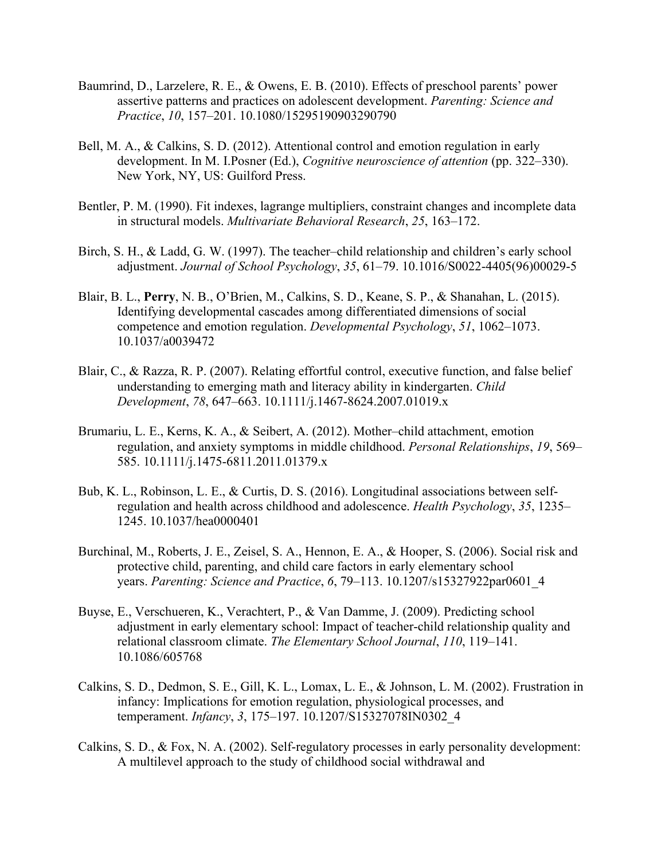- Baumrind, D., Larzelere, R. E., & Owens, E. B. (2010). Effects of preschool parents' power assertive patterns and practices on adolescent development. *Parenting: Science and Practice*, *10*, 157–201. 10.1080/15295190903290790
- Bell, M. A., & Calkins, S. D. (2012). Attentional control and emotion regulation in early development. In M. I.Posner (Ed.), *Cognitive neuroscience of attention* (pp. 322–330). New York, NY, US: Guilford Press.
- Bentler, P. M. (1990). Fit indexes, lagrange multipliers, constraint changes and incomplete data in structural models. *Multivariate Behavioral Research*, *25*, 163–172.
- Birch, S. H., & Ladd, G. W. (1997). The teacher–child relationship and children's early school adjustment. *Journal of School Psychology*, *35*, 61–79. 10.1016/S0022-4405(96)00029-5
- Blair, B. L., **Perry**, N. B., O'Brien, M., Calkins, S. D., Keane, S. P., & Shanahan, L. (2015). Identifying developmental cascades among differentiated dimensions of social competence and emotion regulation. *Developmental Psychology*, *51*, 1062–1073. 10.1037/a0039472
- Blair, C., & Razza, R. P. (2007). Relating effortful control, executive function, and false belief understanding to emerging math and literacy ability in kindergarten. *Child Development*, *78*, 647–663. 10.1111/j.1467-8624.2007.01019.x
- Brumariu, L. E., Kerns, K. A., & Seibert, A. (2012). Mother–child attachment, emotion regulation, and anxiety symptoms in middle childhood. *Personal Relationships*, *19*, 569– 585. 10.1111/j.1475-6811.2011.01379.x
- Bub, K. L., Robinson, L. E., & Curtis, D. S. (2016). Longitudinal associations between selfregulation and health across childhood and adolescence. *Health Psychology*, *35*, 1235– 1245. 10.1037/hea0000401
- Burchinal, M., Roberts, J. E., Zeisel, S. A., Hennon, E. A., & Hooper, S. (2006). Social risk and protective child, parenting, and child care factors in early elementary school years. *Parenting: Science and Practice*, *6*, 79–113. 10.1207/s15327922par0601\_4
- Buyse, E., Verschueren, K., Verachtert, P., & Van Damme, J. (2009). Predicting school adjustment in early elementary school: Impact of teacher-child relationship quality and relational classroom climate. *The Elementary School Journal*, *110*, 119–141. 10.1086/605768
- Calkins, S. D., Dedmon, S. E., Gill, K. L., Lomax, L. E., & Johnson, L. M. (2002). Frustration in infancy: Implications for emotion regulation, physiological processes, and temperament. *Infancy*, *3*, 175–197. 10.1207/S15327078IN0302\_4
- Calkins, S. D., & Fox, N. A. (2002). Self-regulatory processes in early personality development: A multilevel approach to the study of childhood social withdrawal and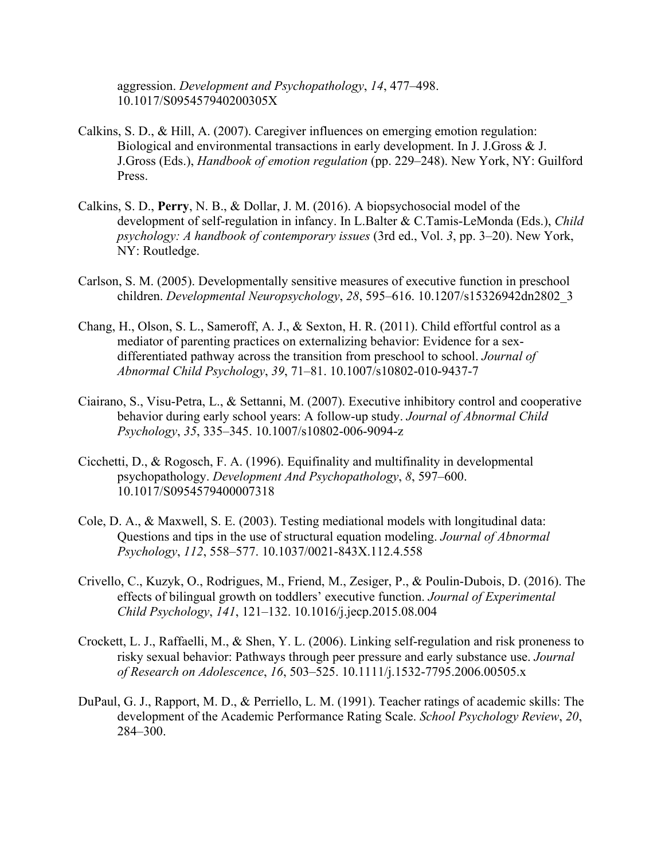aggression. *Development and Psychopathology*, *14*, 477–498. 10.1017/S095457940200305X

- Calkins, S. D., & Hill, A. (2007). Caregiver influences on emerging emotion regulation: Biological and environmental transactions in early development. In J. J.Gross & J. J.Gross (Eds.), *Handbook of emotion regulation* (pp. 229–248). New York, NY: Guilford Press.
- Calkins, S. D., **Perry**, N. B., & Dollar, J. M. (2016). A biopsychosocial model of the development of self-regulation in infancy. In L.Balter & C.Tamis-LeMonda (Eds.), *Child psychology: A handbook of contemporary issues* (3rd ed., Vol. *3*, pp. 3–20). New York, NY: Routledge.
- Carlson, S. M. (2005). Developmentally sensitive measures of executive function in preschool children. *Developmental Neuropsychology*, *28*, 595–616. 10.1207/s15326942dn2802\_3
- Chang, H., Olson, S. L., Sameroff, A. J., & Sexton, H. R. (2011). Child effortful control as a mediator of parenting practices on externalizing behavior: Evidence for a sexdifferentiated pathway across the transition from preschool to school. *Journal of Abnormal Child Psychology*, *39*, 71–81. 10.1007/s10802-010-9437-7
- Ciairano, S., Visu-Petra, L., & Settanni, M. (2007). Executive inhibitory control and cooperative behavior during early school years: A follow-up study. *Journal of Abnormal Child Psychology*, *35*, 335–345. 10.1007/s10802-006-9094-z
- Cicchetti, D., & Rogosch, F. A. (1996). Equifinality and multifinality in developmental psychopathology. *Development And Psychopathology*, *8*, 597–600. 10.1017/S0954579400007318
- Cole, D. A., & Maxwell, S. E. (2003). Testing mediational models with longitudinal data: Questions and tips in the use of structural equation modeling. *Journal of Abnormal Psychology*, *112*, 558–577. 10.1037/0021-843X.112.4.558
- Crivello, C., Kuzyk, O., Rodrigues, M., Friend, M., Zesiger, P., & Poulin-Dubois, D. (2016). The effects of bilingual growth on toddlers' executive function. *Journal of Experimental Child Psychology*, *141*, 121–132. 10.1016/j.jecp.2015.08.004
- Crockett, L. J., Raffaelli, M., & Shen, Y. L. (2006). Linking self-regulation and risk proneness to risky sexual behavior: Pathways through peer pressure and early substance use. *Journal of Research on Adolescence*, *16*, 503–525. 10.1111/j.1532-7795.2006.00505.x
- DuPaul, G. J., Rapport, M. D., & Perriello, L. M. (1991). Teacher ratings of academic skills: The development of the Academic Performance Rating Scale. *School Psychology Review*, *20*, 284–300.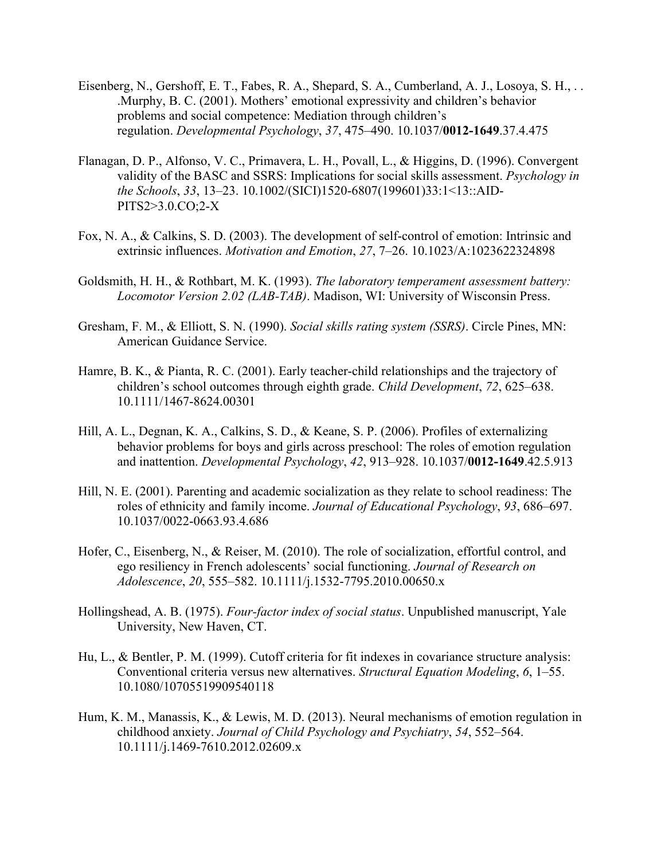- Eisenberg, N., Gershoff, E. T., Fabes, R. A., Shepard, S. A., Cumberland, A. J., Losoya, S. H., . . .Murphy, B. C. (2001). Mothers' emotional expressivity and children's behavior problems and social competence: Mediation through children's regulation. *Developmental Psychology*, *37*, 475–490. 10.1037/**0012-1649**.37.4.475
- Flanagan, D. P., Alfonso, V. C., Primavera, L. H., Povall, L., & Higgins, D. (1996). Convergent validity of the BASC and SSRS: Implications for social skills assessment. *Psychology in the Schools*, *33*, 13–23. 10.1002/(SICI)1520-6807(199601)33:1<13::AID-PITS2>3.0.CO;2-X
- Fox, N. A., & Calkins, S. D. (2003). The development of self-control of emotion: Intrinsic and extrinsic influences. *Motivation and Emotion*, *27*, 7–26. 10.1023/A:1023622324898
- Goldsmith, H. H., & Rothbart, M. K. (1993). *The laboratory temperament assessment battery: Locomotor Version 2.02 (LAB-TAB)*. Madison, WI: University of Wisconsin Press.
- Gresham, F. M., & Elliott, S. N. (1990). *Social skills rating system (SSRS)*. Circle Pines, MN: American Guidance Service.
- Hamre, B. K., & Pianta, R. C. (2001). Early teacher-child relationships and the trajectory of children's school outcomes through eighth grade. *Child Development*, *72*, 625–638. 10.1111/1467-8624.00301
- Hill, A. L., Degnan, K. A., Calkins, S. D., & Keane, S. P. (2006). Profiles of externalizing behavior problems for boys and girls across preschool: The roles of emotion regulation and inattention. *Developmental Psychology*, *42*, 913–928. 10.1037/**0012-1649**.42.5.913
- Hill, N. E. (2001). Parenting and academic socialization as they relate to school readiness: The roles of ethnicity and family income. *Journal of Educational Psychology*, *93*, 686–697. 10.1037/0022-0663.93.4.686
- Hofer, C., Eisenberg, N., & Reiser, M. (2010). The role of socialization, effortful control, and ego resiliency in French adolescents' social functioning. *Journal of Research on Adolescence*, *20*, 555–582. 10.1111/j.1532-7795.2010.00650.x
- Hollingshead, A. B. (1975). *Four-factor index of social status*. Unpublished manuscript, Yale University, New Haven, CT.
- Hu, L., & Bentler, P. M. (1999). Cutoff criteria for fit indexes in covariance structure analysis: Conventional criteria versus new alternatives. *Structural Equation Modeling*, *6*, 1–55. 10.1080/10705519909540118
- Hum, K. M., Manassis, K., & Lewis, M. D. (2013). Neural mechanisms of emotion regulation in childhood anxiety. *Journal of Child Psychology and Psychiatry*, *54*, 552–564. 10.1111/j.1469-7610.2012.02609.x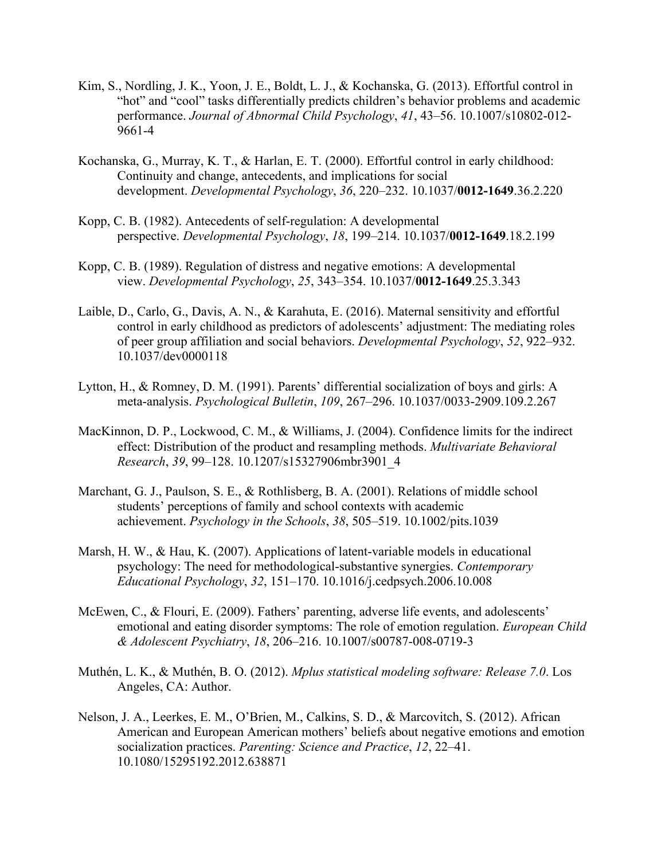- Kim, S., Nordling, J. K., Yoon, J. E., Boldt, L. J., & Kochanska, G. (2013). Effortful control in "hot" and "cool" tasks differentially predicts children's behavior problems and academic performance. *Journal of Abnormal Child Psychology*, *41*, 43–56. 10.1007/s10802-012- 9661-4
- Kochanska, G., Murray, K. T., & Harlan, E. T. (2000). Effortful control in early childhood: Continuity and change, antecedents, and implications for social development. *Developmental Psychology*, *36*, 220–232. 10.1037/**0012-1649**.36.2.220
- Kopp, C. B. (1982). Antecedents of self-regulation: A developmental perspective. *Developmental Psychology*, *18*, 199–214. 10.1037/**0012-1649**.18.2.199
- Kopp, C. B. (1989). Regulation of distress and negative emotions: A developmental view. *Developmental Psychology*, *25*, 343–354. 10.1037/**0012-1649**.25.3.343
- Laible, D., Carlo, G., Davis, A. N., & Karahuta, E. (2016). Maternal sensitivity and effortful control in early childhood as predictors of adolescents' adjustment: The mediating roles of peer group affiliation and social behaviors. *Developmental Psychology*, *52*, 922–932. 10.1037/dev0000118
- Lytton, H., & Romney, D. M. (1991). Parents' differential socialization of boys and girls: A meta-analysis. *Psychological Bulletin*, *109*, 267–296. 10.1037/0033-2909.109.2.267
- MacKinnon, D. P., Lockwood, C. M., & Williams, J. (2004). Confidence limits for the indirect effect: Distribution of the product and resampling methods. *Multivariate Behavioral Research*, *39*, 99–128. 10.1207/s15327906mbr3901\_4
- Marchant, G. J., Paulson, S. E., & Rothlisberg, B. A. (2001). Relations of middle school students' perceptions of family and school contexts with academic achievement. *Psychology in the Schools*, *38*, 505–519. 10.1002/pits.1039
- Marsh, H. W., & Hau, K. (2007). Applications of latent-variable models in educational psychology: The need for methodological-substantive synergies. *Contemporary Educational Psychology*, *32*, 151–170. 10.1016/j.cedpsych.2006.10.008
- McEwen, C., & Flouri, E. (2009). Fathers' parenting, adverse life events, and adolescents' emotional and eating disorder symptoms: The role of emotion regulation. *European Child & Adolescent Psychiatry*, *18*, 206–216. 10.1007/s00787-008-0719-3
- Muthén, L. K., & Muthén, B. O. (2012). *Mplus statistical modeling software: Release 7.0*. Los Angeles, CA: Author.
- Nelson, J. A., Leerkes, E. M., O'Brien, M., Calkins, S. D., & Marcovitch, S. (2012). African American and European American mothers' beliefs about negative emotions and emotion socialization practices. *Parenting: Science and Practice*, *12*, 22–41. 10.1080/15295192.2012.638871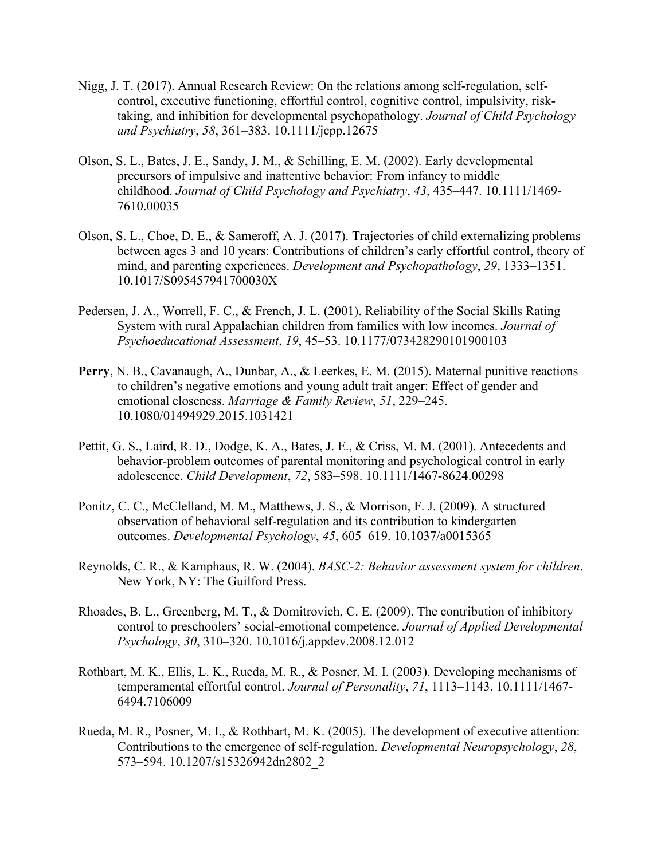- Nigg, J. T. (2017). Annual Research Review: On the relations among self-regulation, selfcontrol, executive functioning, effortful control, cognitive control, impulsivity, risktaking, and inhibition for developmental psychopathology. *Journal of Child Psychology and Psychiatry*, *58*, 361–383. 10.1111/jcpp.12675
- Olson, S. L., Bates, J. E., Sandy, J. M., & Schilling, E. M. (2002). Early developmental precursors of impulsive and inattentive behavior: From infancy to middle childhood. *Journal of Child Psychology and Psychiatry*, *43*, 435–447. 10.1111/1469- 7610.00035
- Olson, S. L., Choe, D. E., & Sameroff, A. J. (2017). Trajectories of child externalizing problems between ages 3 and 10 years: Contributions of children's early effortful control, theory of mind, and parenting experiences. *Development and Psychopathology*, *29*, 1333–1351. 10.1017/S095457941700030X
- Pedersen, J. A., Worrell, F. C., & French, J. L. (2001). Reliability of the Social Skills Rating System with rural Appalachian children from families with low incomes. *Journal of Psychoeducational Assessment*, *19*, 45–53. 10.1177/073428290101900103
- **Perry**, N. B., Cavanaugh, A., Dunbar, A., & Leerkes, E. M. (2015). Maternal punitive reactions to children's negative emotions and young adult trait anger: Effect of gender and emotional closeness. *Marriage & Family Review*, *51*, 229–245. 10.1080/01494929.2015.1031421
- Pettit, G. S., Laird, R. D., Dodge, K. A., Bates, J. E., & Criss, M. M. (2001). Antecedents and behavior-problem outcomes of parental monitoring and psychological control in early adolescence. *Child Development*, *72*, 583–598. 10.1111/1467-8624.00298
- Ponitz, C. C., McClelland, M. M., Matthews, J. S., & Morrison, F. J. (2009). A structured observation of behavioral self-regulation and its contribution to kindergarten outcomes. *Developmental Psychology*, *45*, 605–619. 10.1037/a0015365
- Reynolds, C. R., & Kamphaus, R. W. (2004). *BASC-2: Behavior assessment system for children*. New York, NY: The Guilford Press.
- Rhoades, B. L., Greenberg, M. T., & Domitrovich, C. E. (2009). The contribution of inhibitory control to preschoolers' social-emotional competence. *Journal of Applied Developmental Psychology*, *30*, 310–320. 10.1016/j.appdev.2008.12.012
- Rothbart, M. K., Ellis, L. K., Rueda, M. R., & Posner, M. I. (2003). Developing mechanisms of temperamental effortful control. *Journal of Personality*, *71*, 1113–1143. 10.1111/1467- 6494.7106009
- Rueda, M. R., Posner, M. I., & Rothbart, M. K. (2005). The development of executive attention: Contributions to the emergence of self-regulation. *Developmental Neuropsychology*, *28*, 573–594. 10.1207/s15326942dn2802\_2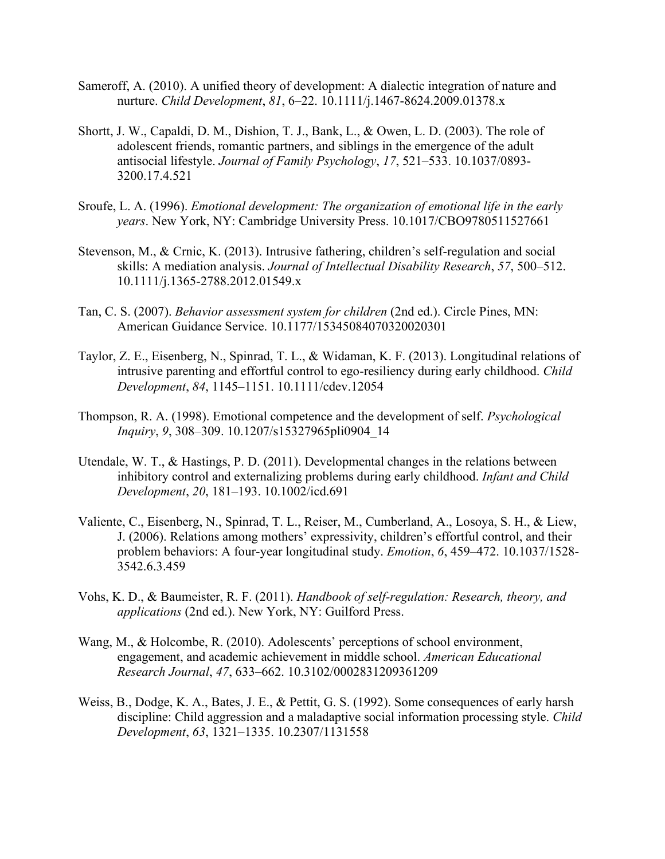- Sameroff, A. (2010). A unified theory of development: A dialectic integration of nature and nurture. *Child Development*, *81*, 6–22. 10.1111/j.1467-8624.2009.01378.x
- Shortt, J. W., Capaldi, D. M., Dishion, T. J., Bank, L., & Owen, L. D. (2003). The role of adolescent friends, romantic partners, and siblings in the emergence of the adult antisocial lifestyle. *Journal of Family Psychology*, *17*, 521–533. 10.1037/0893- 3200.17.4.521
- Sroufe, L. A. (1996). *Emotional development: The organization of emotional life in the early years*. New York, NY: Cambridge University Press. 10.1017/CBO9780511527661
- Stevenson, M., & Crnic, K. (2013). Intrusive fathering, children's self-regulation and social skills: A mediation analysis. *Journal of Intellectual Disability Research*, *57*, 500–512. 10.1111/j.1365-2788.2012.01549.x
- Tan, C. S. (2007). *Behavior assessment system for children* (2nd ed.). Circle Pines, MN: American Guidance Service. 10.1177/15345084070320020301
- Taylor, Z. E., Eisenberg, N., Spinrad, T. L., & Widaman, K. F. (2013). Longitudinal relations of intrusive parenting and effortful control to ego-resiliency during early childhood. *Child Development*, *84*, 1145–1151. 10.1111/cdev.12054
- Thompson, R. A. (1998). Emotional competence and the development of self. *Psychological Inquiry*, *9*, 308–309. 10.1207/s15327965pli0904\_14
- Utendale, W. T., & Hastings, P. D. (2011). Developmental changes in the relations between inhibitory control and externalizing problems during early childhood. *Infant and Child Development*, *20*, 181–193. 10.1002/icd.691
- Valiente, C., Eisenberg, N., Spinrad, T. L., Reiser, M., Cumberland, A., Losoya, S. H., & Liew, J. (2006). Relations among mothers' expressivity, children's effortful control, and their problem behaviors: A four-year longitudinal study. *Emotion*, *6*, 459–472. 10.1037/1528- 3542.6.3.459
- Vohs, K. D., & Baumeister, R. F. (2011). *Handbook of self-regulation: Research, theory, and applications* (2nd ed.). New York, NY: Guilford Press.
- Wang, M., & Holcombe, R. (2010). Adolescents' perceptions of school environment, engagement, and academic achievement in middle school. *American Educational Research Journal*, *47*, 633–662. 10.3102/0002831209361209
- Weiss, B., Dodge, K. A., Bates, J. E., & Pettit, G. S. (1992). Some consequences of early harsh discipline: Child aggression and a maladaptive social information processing style. *Child Development*, *63*, 1321–1335. 10.2307/1131558